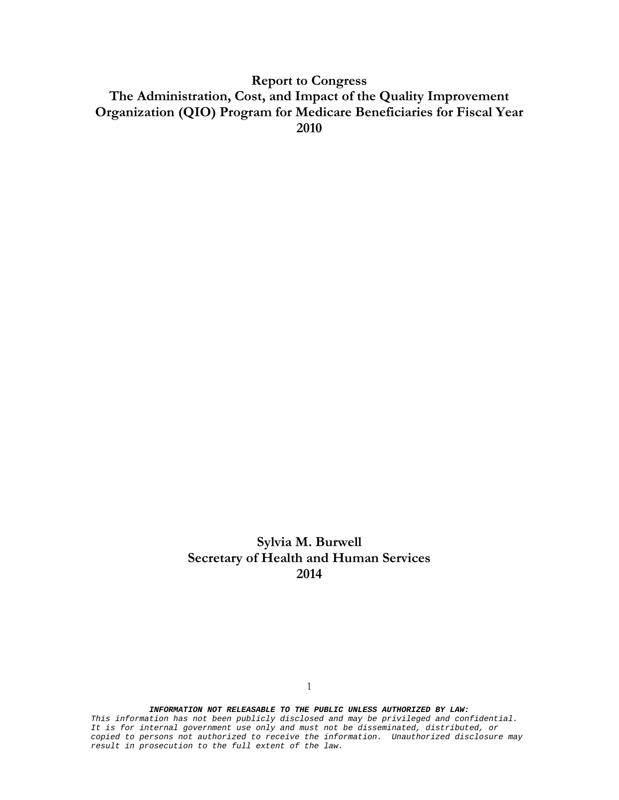**Report to Congress The Administration, Cost, and Impact of the Quality Improvement Organization (QIO) Program for Medicare Beneficiaries for Fiscal Year 2010**

> **Sylvia M. Burwell Secretary of Health and Human Services 2014**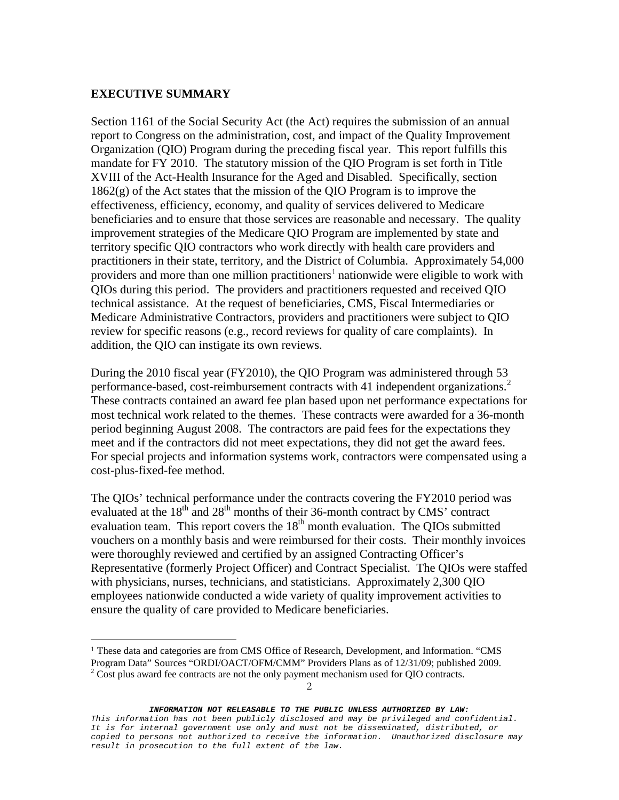## **EXECUTIVE SUMMARY**

Section 1161 of the Social Security Act (the Act) requires the submission of an annual report to Congress on the administration, cost, and impact of the Quality Improvement Organization (QIO) Program during the preceding fiscal year. This report fulfills this mandate for FY 2010. The statutory mission of the QIO Program is set forth in Title XVIII of the Act-Health Insurance for the Aged and Disabled. Specifically, section 1862(g) of the Act states that the mission of the QIO Program is to improve the effectiveness, efficiency, economy, and quality of services delivered to Medicare beneficiaries and to ensure that those services are reasonable and necessary. The quality improvement strategies of the Medicare QIO Program are implemented by state and territory specific QIO contractors who work directly with health care providers and practitioners in their state, territory, and the District of Columbia. Approximately 54,000 providers and more than one million practitioners<sup>[1](#page-1-0)</sup> nationwide were eligible to work with QIOs during this period. The providers and practitioners requested and received QIO technical assistance. At the request of beneficiaries, CMS, Fiscal Intermediaries or Medicare Administrative Contractors, providers and practitioners were subject to QIO review for specific reasons (e.g., record reviews for quality of care complaints). In addition, the QIO can instigate its own reviews.

During the 2010 fiscal year (FY2010), the QIO Program was administered through 53 performance-based, cost-reimbursement contracts with 41 independent organizations.<sup>[2](#page-1-1)</sup> These contracts contained an award fee plan based upon net performance expectations for most technical work related to the themes. These contracts were awarded for a 36-month period beginning August 2008. The contractors are paid fees for the expectations they meet and if the contractors did not meet expectations, they did not get the award fees. For special projects and information systems work, contractors were compensated using a cost-plus-fixed-fee method.

The QIOs' technical performance under the contracts covering the FY2010 period was evaluated at the  $18<sup>th</sup>$  and  $28<sup>th</sup>$  months of their 36-month contract by CMS' contract evaluation team. This report covers the  $18<sup>th</sup>$  month evaluation. The QIOs submitted vouchers on a monthly basis and were reimbursed for their costs. Their monthly invoices were thoroughly reviewed and certified by an assigned Contracting Officer's Representative (formerly Project Officer) and Contract Specialist. The QIOs were staffed with physicians, nurses, technicians, and statisticians. Approximately 2,300 QIO employees nationwide conducted a wide variety of quality improvement activities to ensure the quality of care provided to Medicare beneficiaries.

<span id="page-1-0"></span> <sup>1</sup> These data and categories are from CMS Office of Research, Development, and Information. "CMS Program Data" Sources "ORDI/OACT/OFM/CMM" Providers Plans as of 12/31/09; published 2009.

<span id="page-1-1"></span> $2^2$  Cost plus award fee contracts are not the only payment mechanism used for QIO contracts.

*This information has not been publicly disclosed and may be privileged and confidential. It is for internal government use only and must not be disseminated, distributed, or copied to persons not authorized to receive the information. Unauthorized disclosure may result in prosecution to the full extent of the law.*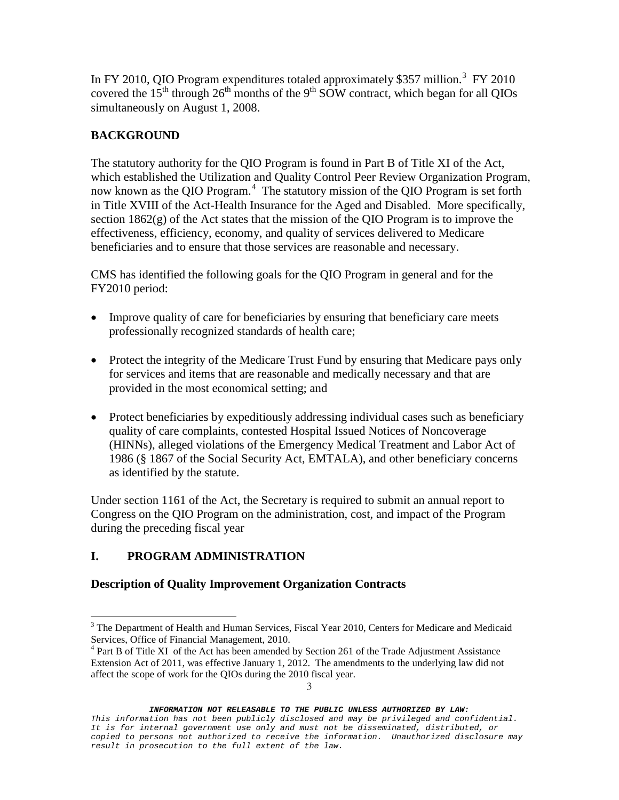In FY 2010, QIO Program expenditures totaled approximately \$[3](#page-2-0)57 million.<sup>3</sup> FY 2010 covered the  $15<sup>th</sup>$  through  $26<sup>th</sup>$  months of the 9<sup>th</sup> SOW contract, which began for all QIOs simultaneously on August 1, 2008.

## **BACKGROUND**

The statutory authority for the QIO Program is found in Part B of Title XI of the Act, which established the Utilization and Quality Control Peer Review Organization Program, now known as the QIO Program.<sup>[4](#page-2-1)</sup> The statutory mission of the QIO Program is set forth in Title XVIII of the Act-Health Insurance for the Aged and Disabled. More specifically, section  $1862(g)$  of the Act states that the mission of the OIO Program is to improve the effectiveness, efficiency, economy, and quality of services delivered to Medicare beneficiaries and to ensure that those services are reasonable and necessary.

CMS has identified the following goals for the QIO Program in general and for the FY2010 period:

- Improve quality of care for beneficiaries by ensuring that beneficiary care meets professionally recognized standards of health care;
- Protect the integrity of the Medicare Trust Fund by ensuring that Medicare pays only for services and items that are reasonable and medically necessary and that are provided in the most economical setting; and
- Protect beneficiaries by expeditiously addressing individual cases such as beneficiary quality of care complaints, contested Hospital Issued Notices of Noncoverage (HINNs), alleged violations of the Emergency Medical Treatment and Labor Act of 1986 (§ 1867 of the Social Security Act, EMTALA), and other beneficiary concerns as identified by the statute.

Under section 1161 of the Act, the Secretary is required to submit an annual report to Congress on the QIO Program on the administration, cost, and impact of the Program during the preceding fiscal year

# **I. PROGRAM ADMINISTRATION**

## **Description of Quality Improvement Organization Contracts**

<span id="page-2-0"></span><sup>&</sup>lt;sup>3</sup> The Department of Health and Human Services, Fiscal Year 2010, Centers for Medicare and Medicaid Services, Office of Financial Management, 2010.

<span id="page-2-1"></span><sup>&</sup>lt;sup>4</sup> Part B of Title XI of the Act has been amended by Section 261 of the Trade Adjustment Assistance Extension Act of 2011, was effective January 1, 2012. The amendments to the underlying law did not affect the scope of work for the QIOs during the 2010 fiscal year.

*INFORMATION NOT RELEASABLE TO THE PUBLIC UNLESS AUTHORIZED BY LAW:*

*This information has not been publicly disclosed and may be privileged and confidential. It is for internal government use only and must not be disseminated, distributed, or copied to persons not authorized to receive the information. Unauthorized disclosure may result in prosecution to the full extent of the law.*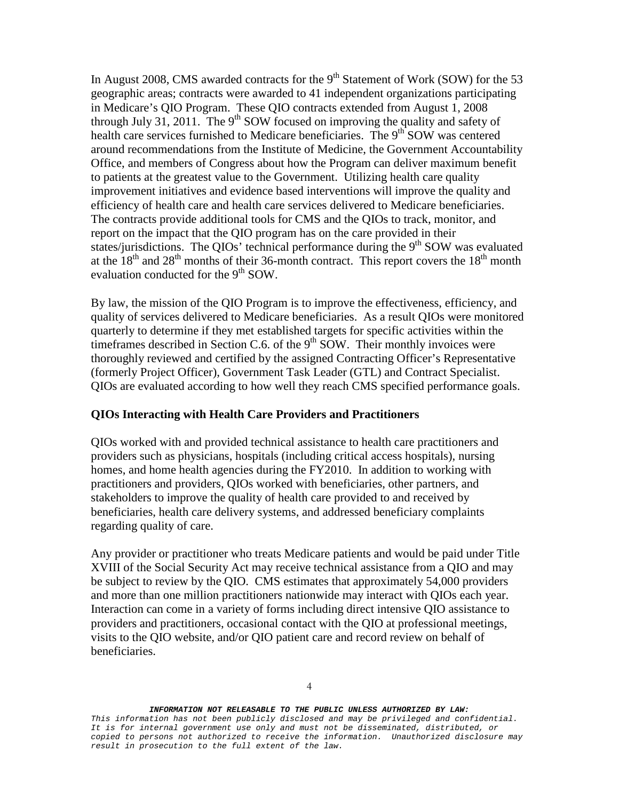In August 2008, CMS awarded contracts for the  $9<sup>th</sup>$  Statement of Work (SOW) for the 53 geographic areas; contracts were awarded to 41 independent organizations participating in Medicare's QIO Program. These QIO contracts extended from August 1, 2008 through July 31, 2011. The 9<sup>th</sup> SOW focused on improving the quality and safety of health care services furnished to Medicare beneficiaries. The  $9<sup>th</sup>$  SOW was centered around recommendations from the Institute of Medicine, the Government Accountability Office, and members of Congress about how the Program can deliver maximum benefit to patients at the greatest value to the Government. Utilizing health care quality improvement initiatives and evidence based interventions will improve the quality and efficiency of health care and health care services delivered to Medicare beneficiaries. The contracts provide additional tools for CMS and the QIOs to track, monitor, and report on the impact that the QIO program has on the care provided in their states/jurisdictions. The QIOs' technical performance during the  $9<sup>th</sup>$  SOW was evaluated at the  $18<sup>th</sup>$  and  $28<sup>th</sup>$  months of their 36-month contract. This report covers the  $18<sup>th</sup>$  month evaluation conducted for the 9<sup>th</sup> SOW.

By law, the mission of the QIO Program is to improve the effectiveness, efficiency, and quality of services delivered to Medicare beneficiaries. As a result QIOs were monitored quarterly to determine if they met established targets for specific activities within the timeframes described in Section C.6. of the  $9<sup>th</sup>$  SOW. Their monthly invoices were thoroughly reviewed and certified by the assigned Contracting Officer's Representative (formerly Project Officer), Government Task Leader (GTL) and Contract Specialist. QIOs are evaluated according to how well they reach CMS specified performance goals.

### **QIOs Interacting with Health Care Providers and Practitioners**

QIOs worked with and provided technical assistance to health care practitioners and providers such as physicians, hospitals (including critical access hospitals), nursing homes, and home health agencies during the FY2010. In addition to working with practitioners and providers, QIOs worked with beneficiaries, other partners, and stakeholders to improve the quality of health care provided to and received by beneficiaries, health care delivery systems, and addressed beneficiary complaints regarding quality of care.

Any provider or practitioner who treats Medicare patients and would be paid under Title XVIII of the Social Security Act may receive technical assistance from a QIO and may be subject to review by the QIO. CMS estimates that approximately 54,000 providers and more than one million practitioners nationwide may interact with QIOs each year. Interaction can come in a variety of forms including direct intensive QIO assistance to providers and practitioners, occasional contact with the QIO at professional meetings, visits to the QIO website, and/or QIO patient care and record review on behalf of beneficiaries.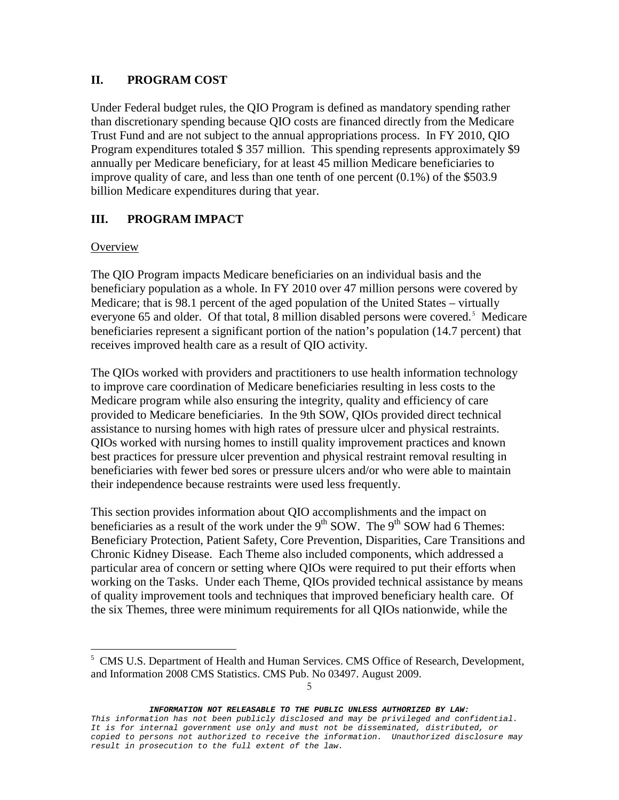## **II. PROGRAM COST**

Under Federal budget rules, the QIO Program is defined as mandatory spending rather than discretionary spending because QIO costs are financed directly from the Medicare Trust Fund and are not subject to the annual appropriations process. In FY 2010, QIO Program expenditures totaled \$ 357 million. This spending represents approximately \$9 annually per Medicare beneficiary, for at least 45 million Medicare beneficiaries to improve quality of care, and less than one tenth of one percent (0.1%) of the \$503.9 billion Medicare expenditures during that year.

## **III. PROGRAM IMPACT**

## **Overview**

 $\overline{a}$ 

The QIO Program impacts Medicare beneficiaries on an individual basis and the beneficiary population as a whole. In FY 2010 over 47 million persons were covered by Medicare; that is 98.1 percent of the aged population of the United States – virtually everyone 6[5](#page-4-0) and older. Of that total, 8 million disabled persons were covered.<sup>5</sup> Medicare beneficiaries represent a significant portion of the nation's population (14.7 percent) that receives improved health care as a result of QIO activity.

The QIOs worked with providers and practitioners to use health information technology to improve care coordination of Medicare beneficiaries resulting in less costs to the Medicare program while also ensuring the integrity, quality and efficiency of care provided to Medicare beneficiaries. In the 9th SOW, QIOs provided direct technical assistance to nursing homes with high rates of pressure ulcer and physical restraints. QIOs worked with nursing homes to instill quality improvement practices and known best practices for pressure ulcer prevention and physical restraint removal resulting in beneficiaries with fewer bed sores or pressure ulcers and/or who were able to maintain their independence because restraints were used less frequently.

This section provides information about QIO accomplishments and the impact on beneficiaries as a result of the work under the  $9<sup>th</sup>$  SOW. The  $9<sup>th</sup>$  SOW had 6 Themes: Beneficiary Protection, Patient Safety, Core Prevention, Disparities, Care Transitions and Chronic Kidney Disease. Each Theme also included components, which addressed a particular area of concern or setting where QIOs were required to put their efforts when working on the Tasks. Under each Theme, QIOs provided technical assistance by means of quality improvement tools and techniques that improved beneficiary health care. Of the six Themes, three were minimum requirements for all QIOs nationwide, while the

5

<span id="page-4-0"></span><sup>&</sup>lt;sup>5</sup> CMS U.S. Department of Health and Human Services. CMS Office of Research, Development, and Information 2008 CMS Statistics. CMS Pub. No 03497. August 2009.

*This information has not been publicly disclosed and may be privileged and confidential. It is for internal government use only and must not be disseminated, distributed, or copied to persons not authorized to receive the information. Unauthorized disclosure may result in prosecution to the full extent of the law.*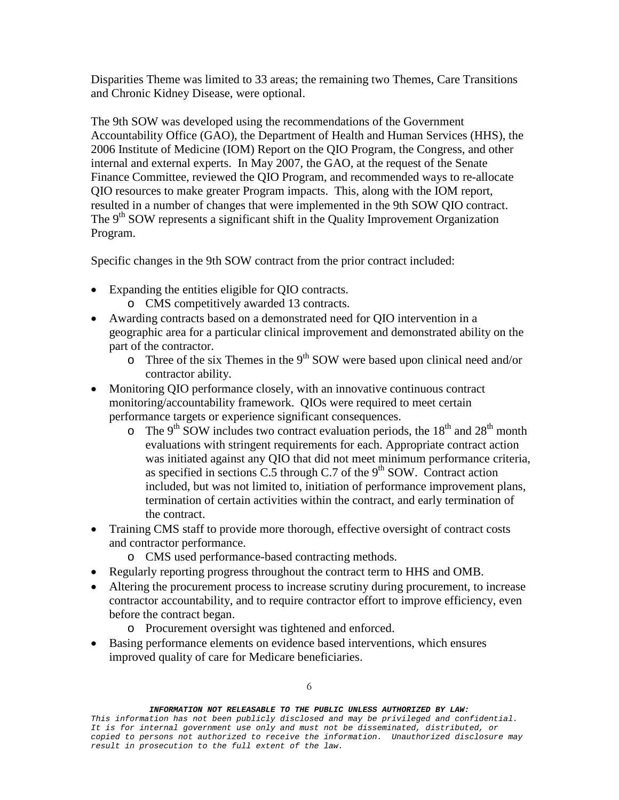Disparities Theme was limited to 33 areas; the remaining two Themes, Care Transitions and Chronic Kidney Disease, were optional.

The 9th SOW was developed using the recommendations of the Government Accountability Office (GAO), the Department of Health and Human Services (HHS), the 2006 Institute of Medicine (IOM) Report on the QIO Program, the Congress, and other internal and external experts. In May 2007, the GAO, at the request of the Senate Finance Committee, reviewed the QIO Program, and recommended ways to re-allocate QIO resources to make greater Program impacts. This, along with the IOM report, resulted in a number of changes that were implemented in the 9th SOW QIO contract. The  $9<sup>th</sup>$  SOW represents a significant shift in the Quality Improvement Organization Program.

Specific changes in the 9th SOW contract from the prior contract included:

- Expanding the entities eligible for QIO contracts.
	- o CMS competitively awarded 13 contracts.
- Awarding contracts based on a demonstrated need for QIO intervention in a geographic area for a particular clinical improvement and demonstrated ability on the part of the contractor.
	- $\circ$  Three of the six Themes in the 9<sup>th</sup> SOW were based upon clinical need and/or contractor ability.
- Monitoring QIO performance closely, with an innovative continuous contract monitoring/accountability framework. QIOs were required to meet certain performance targets or experience significant consequences.
	- $\circ$  The 9<sup>th</sup> SOW includes two contract evaluation periods, the 18<sup>th</sup> and 28<sup>th</sup> month evaluations with stringent requirements for each. Appropriate contract action was initiated against any QIO that did not meet minimum performance criteria, as specified in sections C.5 through C.7 of the  $9<sup>th</sup>$  SOW. Contract action included, but was not limited to, initiation of performance improvement plans, termination of certain activities within the contract, and early termination of the contract.
- Training CMS staff to provide more thorough, effective oversight of contract costs and contractor performance.
	- o CMS used performance-based contracting methods.
- Regularly reporting progress throughout the contract term to HHS and OMB.
- Altering the procurement process to increase scrutiny during procurement, to increase contractor accountability, and to require contractor effort to improve efficiency, even before the contract began.
	- o Procurement oversight was tightened and enforced.
- Basing performance elements on evidence based interventions, which ensures improved quality of care for Medicare beneficiaries.

6

*This information has not been publicly disclosed and may be privileged and confidential. It is for internal government use only and must not be disseminated, distributed, or copied to persons not authorized to receive the information. Unauthorized disclosure may result in prosecution to the full extent of the law.*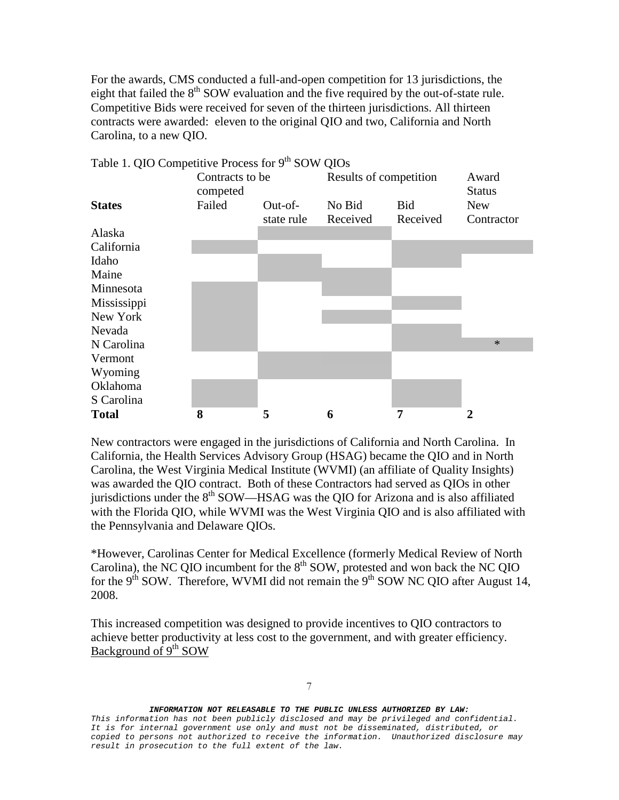For the awards, CMS conducted a full-and-open competition for 13 jurisdictions, the eight that failed the  $8<sup>th</sup>$  SOW evaluation and the five required by the out-of-state rule. Competitive Bids were received for seven of the thirteen jurisdictions. All thirteen contracts were awarded: eleven to the original QIO and two, California and North Carolina, to a new QIO.



Table 1. QIO Competitive Process for 9<sup>th</sup> SOW QIOs

New contractors were engaged in the jurisdictions of California and North Carolina. In California, the Health Services Advisory Group (HSAG) became the QIO and in North Carolina, the West Virginia Medical Institute (WVMI) (an affiliate of Quality Insights) was awarded the QIO contract. Both of these Contractors had served as QIOs in other jurisdictions under the  $8<sup>th</sup>$  SOW—HSAG was the OIO for Arizona and is also affiliated with the Florida QIO, while WVMI was the West Virginia QIO and is also affiliated with the Pennsylvania and Delaware QIOs.

\*However, Carolinas Center for Medical Excellence (formerly Medical Review of North Carolina), the NC QIO incumbent for the  $8<sup>th</sup>$  SOW, protested and won back the NC QIO for the  $9<sup>th</sup>$  SOW. Therefore, WVMI did not remain the  $9<sup>th</sup>$  SOW NC QIO after August 14, 2008.

This increased competition was designed to provide incentives to QIO contractors to achieve better productivity at less cost to the government, and with greater efficiency. Background of 9<sup>th</sup> SOW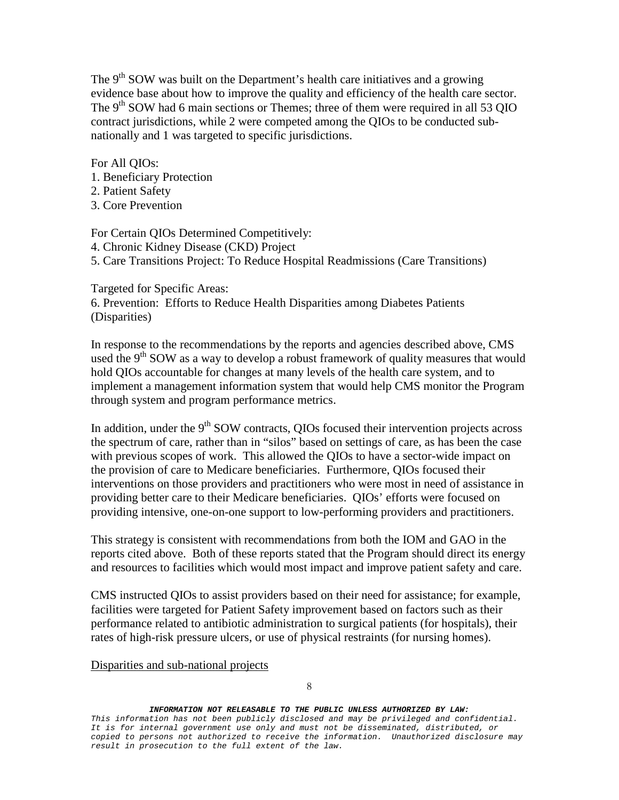The  $9<sup>th</sup>$  SOW was built on the Department's health care initiatives and a growing evidence base about how to improve the quality and efficiency of the health care sector. The  $9<sup>th</sup>$  SOW had 6 main sections or Themes; three of them were required in all 53 QIO contract jurisdictions, while 2 were competed among the QIOs to be conducted subnationally and 1 was targeted to specific jurisdictions.

For All QIOs:

- 1. Beneficiary Protection
- 2. Patient Safety
- 3. Core Prevention

For Certain QIOs Determined Competitively:

4. Chronic Kidney Disease (CKD) Project

5. Care Transitions Project: To Reduce Hospital Readmissions (Care Transitions)

Targeted for Specific Areas:

6. Prevention: Efforts to Reduce Health Disparities among Diabetes Patients (Disparities)

In response to the recommendations by the reports and agencies described above, CMS used the  $9<sup>th</sup>$  SOW as a way to develop a robust framework of quality measures that would hold QIOs accountable for changes at many levels of the health care system, and to implement a management information system that would help CMS monitor the Program through system and program performance metrics.

In addition, under the  $9<sup>th</sup>$  SOW contracts, OIOs focused their intervention projects across the spectrum of care, rather than in "silos" based on settings of care, as has been the case with previous scopes of work. This allowed the QIOs to have a sector-wide impact on the provision of care to Medicare beneficiaries. Furthermore, QIOs focused their interventions on those providers and practitioners who were most in need of assistance in providing better care to their Medicare beneficiaries. QIOs' efforts were focused on providing intensive, one-on-one support to low-performing providers and practitioners.

This strategy is consistent with recommendations from both the IOM and GAO in the reports cited above. Both of these reports stated that the Program should direct its energy and resources to facilities which would most impact and improve patient safety and care.

CMS instructed QIOs to assist providers based on their need for assistance; for example, facilities were targeted for Patient Safety improvement based on factors such as their performance related to antibiotic administration to surgical patients (for hospitals), their rates of high-risk pressure ulcers, or use of physical restraints (for nursing homes).

Disparities and sub-national projects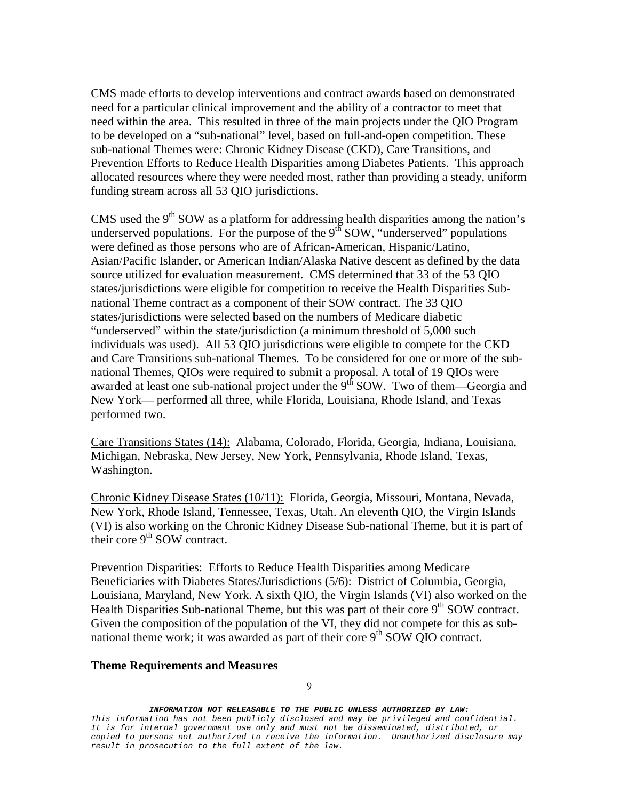CMS made efforts to develop interventions and contract awards based on demonstrated need for a particular clinical improvement and the ability of a contractor to meet that need within the area. This resulted in three of the main projects under the QIO Program to be developed on a "sub-national" level, based on full-and-open competition. These sub-national Themes were: Chronic Kidney Disease (CKD), Care Transitions, and Prevention Efforts to Reduce Health Disparities among Diabetes Patients. This approach allocated resources where they were needed most, rather than providing a steady, uniform funding stream across all 53 QIO jurisdictions.

CMS used the  $9<sup>th</sup>$  SOW as a platform for addressing health disparities among the nation's underserved populations. For the purpose of the  $9<sup>th</sup>$  SOW, "underserved" populations were defined as those persons who are of African-American, Hispanic/Latino, Asian/Pacific Islander, or American Indian/Alaska Native descent as defined by the data source utilized for evaluation measurement. CMS determined that 33 of the 53 QIO states/jurisdictions were eligible for competition to receive the Health Disparities Subnational Theme contract as a component of their SOW contract. The 33 QIO states/jurisdictions were selected based on the numbers of Medicare diabetic "underserved" within the state/jurisdiction (a minimum threshold of 5,000 such individuals was used). All 53 QIO jurisdictions were eligible to compete for the CKD and Care Transitions sub-national Themes. To be considered for one or more of the subnational Themes, QIOs were required to submit a proposal. A total of 19 QIOs were awarded at least one sub-national project under the  $9<sup>th</sup>$  SOW. Two of them—Georgia and New York— performed all three, while Florida, Louisiana, Rhode Island, and Texas performed two.

Care Transitions States (14): Alabama, Colorado, Florida, Georgia, Indiana, Louisiana, Michigan, Nebraska, New Jersey, New York, Pennsylvania, Rhode Island, Texas, Washington.

Chronic Kidney Disease States (10/11): Florida, Georgia, Missouri, Montana, Nevada, New York, Rhode Island, Tennessee, Texas, Utah. An eleventh QIO, the Virgin Islands (VI) is also working on the Chronic Kidney Disease Sub-national Theme, but it is part of their core  $9<sup>th</sup>$  SOW contract.

Prevention Disparities: Efforts to Reduce Health Disparities among Medicare Beneficiaries with Diabetes States/Jurisdictions (5/6): District of Columbia, Georgia, Louisiana, Maryland, New York. A sixth QIO, the Virgin Islands (VI) also worked on the Health Disparities Sub-national Theme, but this was part of their core 9<sup>th</sup> SOW contract. Given the composition of the population of the VI, they did not compete for this as subnational theme work; it was awarded as part of their core  $9<sup>th</sup>$  SOW OIO contract.

### **Theme Requirements and Measures**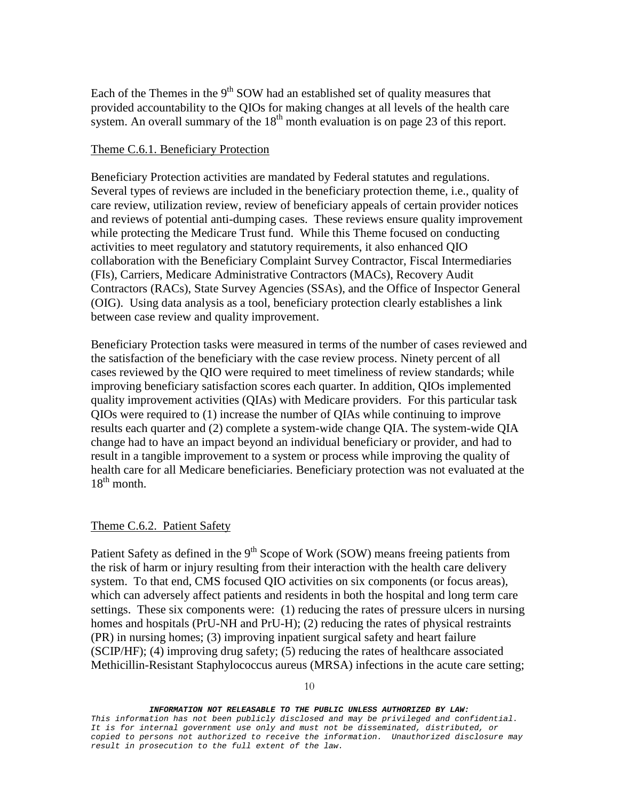Each of the Themes in the  $9<sup>th</sup>$  SOW had an established set of quality measures that provided accountability to the QIOs for making changes at all levels of the health care system. An overall summary of the  $18<sup>th</sup>$  month evaluation is on page 23 of this report.

## Theme C.6.1. Beneficiary Protection

Beneficiary Protection activities are mandated by Federal statutes and regulations. Several types of reviews are included in the beneficiary protection theme, i.e., quality of care review, utilization review, review of beneficiary appeals of certain provider notices and reviews of potential anti-dumping cases. These reviews ensure quality improvement while protecting the Medicare Trust fund. While this Theme focused on conducting activities to meet regulatory and statutory requirements, it also enhanced QIO collaboration with the Beneficiary Complaint Survey Contractor, Fiscal Intermediaries (FIs), Carriers, Medicare Administrative Contractors (MACs), Recovery Audit Contractors (RACs), State Survey Agencies (SSAs), and the Office of Inspector General (OIG). Using data analysis as a tool, beneficiary protection clearly establishes a link between case review and quality improvement.

Beneficiary Protection tasks were measured in terms of the number of cases reviewed and the satisfaction of the beneficiary with the case review process. Ninety percent of all cases reviewed by the QIO were required to meet timeliness of review standards; while improving beneficiary satisfaction scores each quarter. In addition, QIOs implemented quality improvement activities (QIAs) with Medicare providers. For this particular task QIOs were required to (1) increase the number of QIAs while continuing to improve results each quarter and (2) complete a system-wide change QIA. The system-wide QIA change had to have an impact beyond an individual beneficiary or provider, and had to result in a tangible improvement to a system or process while improving the quality of health care for all Medicare beneficiaries. Beneficiary protection was not evaluated at the  $18^{th}$  month.

### Theme C.6.2. Patient Safety

Patient Safety as defined in the  $9<sup>th</sup>$  Scope of Work (SOW) means freeing patients from the risk of harm or injury resulting from their interaction with the health care delivery system. To that end, CMS focused QIO activities on six components (or focus areas), which can adversely affect patients and residents in both the hospital and long term care settings. These six components were: (1) reducing the rates of pressure ulcers in nursing homes and hospitals (PrU-NH and PrU-H); (2) reducing the rates of physical restraints (PR) in nursing homes; (3) improving inpatient surgical safety and heart failure (SCIP/HF); (4) improving drug safety; (5) reducing the rates of healthcare associated Methicillin-Resistant Staphylococcus aureus (MRSA) infections in the acute care setting;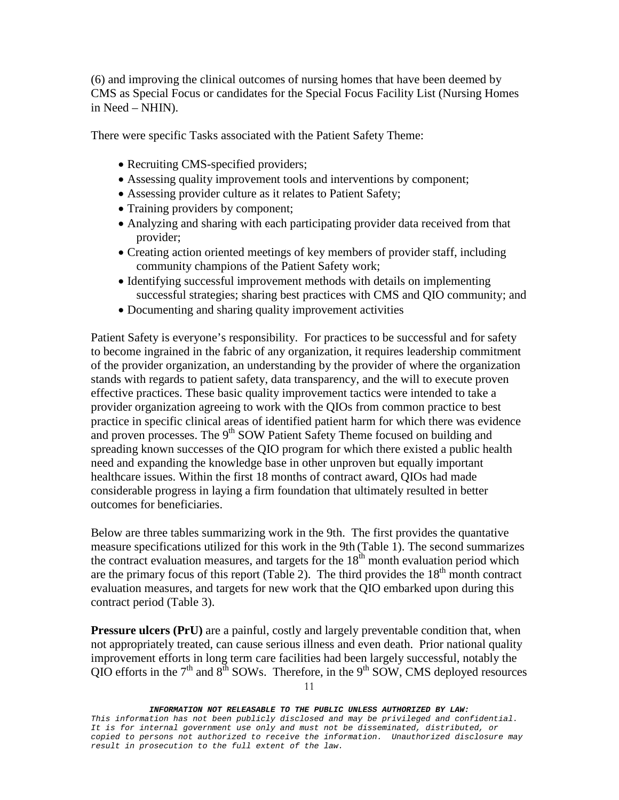(6) and improving the clinical outcomes of nursing homes that have been deemed by CMS as Special Focus or candidates for the Special Focus Facility List (Nursing Homes in Need – NHIN).

There were specific Tasks associated with the Patient Safety Theme:

- Recruiting CMS-specified providers;
- Assessing quality improvement tools and interventions by component;
- Assessing provider culture as it relates to Patient Safety;
- Training providers by component;
- Analyzing and sharing with each participating provider data received from that provider;
- Creating action oriented meetings of key members of provider staff, including community champions of the Patient Safety work;
- Identifying successful improvement methods with details on implementing successful strategies; sharing best practices with CMS and QIO community; and
- Documenting and sharing quality improvement activities

Patient Safety is everyone's responsibility. For practices to be successful and for safety to become ingrained in the fabric of any organization, it requires leadership commitment of the provider organization, an understanding by the provider of where the organization stands with regards to patient safety, data transparency, and the will to execute proven effective practices. These basic quality improvement tactics were intended to take a provider organization agreeing to work with the QIOs from common practice to best practice in specific clinical areas of identified patient harm for which there was evidence and proven processes. The  $9<sup>th</sup>$  SOW Patient Safety Theme focused on building and spreading known successes of the QIO program for which there existed a public health need and expanding the knowledge base in other unproven but equally important healthcare issues. Within the first 18 months of contract award, QIOs had made considerable progress in laying a firm foundation that ultimately resulted in better outcomes for beneficiaries.

Below are three tables summarizing work in the 9th. The first provides the quantative measure specifications utilized for this work in the 9th (Table 1). The second summarizes the contract evaluation measures, and targets for the  $18<sup>th</sup>$  month evaluation period which are the primary focus of this report (Table 2). The third provides the  $18<sup>th</sup>$  month contract evaluation measures, and targets for new work that the QIO embarked upon during this contract period (Table 3).

**Pressure ulcers (PrU)** are a painful, costly and largely preventable condition that, when not appropriately treated, can cause serious illness and even death. Prior national quality improvement efforts in long term care facilities had been largely successful, notably the QIO efforts in the  $7<sup>th</sup>$  and  $8<sup>th</sup>$  SOWs. Therefore, in the  $9<sup>th</sup>$  SOW, CMS deployed resources

11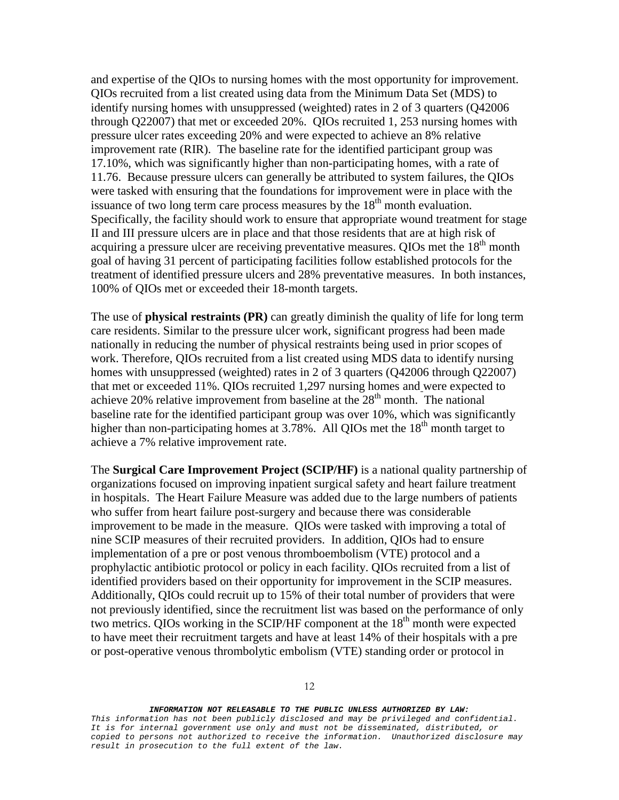and expertise of the QIOs to nursing homes with the most opportunity for improvement. QIOs recruited from a list created using data from the Minimum Data Set (MDS) to identify nursing homes with unsuppressed (weighted) rates in 2 of 3 quarters (Q42006 through Q22007) that met or exceeded 20%. QIOs recruited 1, 253 nursing homes with pressure ulcer rates exceeding 20% and were expected to achieve an 8% relative improvement rate (RIR). The baseline rate for the identified participant group was 17.10%, which was significantly higher than non-participating homes, with a rate of 11.76. Because pressure ulcers can generally be attributed to system failures, the QIOs were tasked with ensuring that the foundations for improvement were in place with the issuance of two long term care process measures by the  $18<sup>th</sup>$  month evaluation. Specifically, the facility should work to ensure that appropriate wound treatment for stage II and III pressure ulcers are in place and that those residents that are at high risk of acquiring a pressure ulcer are receiving preventative measures. QIOs met the  $18<sup>th</sup>$  month goal of having 31 percent of participating facilities follow established protocols for the treatment of identified pressure ulcers and 28% preventative measures. In both instances, 100% of QIOs met or exceeded their 18-month targets.

The use of **physical restraints (PR)** can greatly diminish the quality of life for long term care residents. Similar to the pressure ulcer work, significant progress had been made nationally in reducing the number of physical restraints being used in prior scopes of work. Therefore, QIOs recruited from a list created using MDS data to identify nursing homes with unsuppressed (weighted) rates in 2 of 3 quarters (Q42006 through Q22007) that met or exceeded 11%. QIOs recruited 1,297 nursing homes and were expected to achieve 20% relative improvement from baseline at the  $28<sup>th</sup>$  month. The national baseline rate for the identified participant group was over 10%, which was significantly higher than non-participating homes at 3.78%. All OIOs met the  $18<sup>th</sup>$  month target to achieve a 7% relative improvement rate.

The **Surgical Care Improvement Project (SCIP/HF)** is a national quality partnership of organizations focused on improving inpatient surgical safety and heart failure treatment in hospitals. The Heart Failure Measure was added due to the large numbers of patients who suffer from heart failure post-surgery and because there was considerable improvement to be made in the measure. QIOs were tasked with improving a total of nine SCIP measures of their recruited providers. In addition, QIOs had to ensure implementation of a pre or post venous thromboembolism (VTE) protocol and a prophylactic antibiotic protocol or policy in each facility. QIOs recruited from a list of identified providers based on their opportunity for improvement in the SCIP measures. Additionally, QIOs could recruit up to 15% of their total number of providers that were not previously identified, since the recruitment list was based on the performance of only two metrics. QIOs working in the SCIP/HF component at the  $18<sup>th</sup>$  month were expected to have meet their recruitment targets and have at least 14% of their hospitals with a pre or post-operative venous thrombolytic embolism (VTE) standing order or protocol in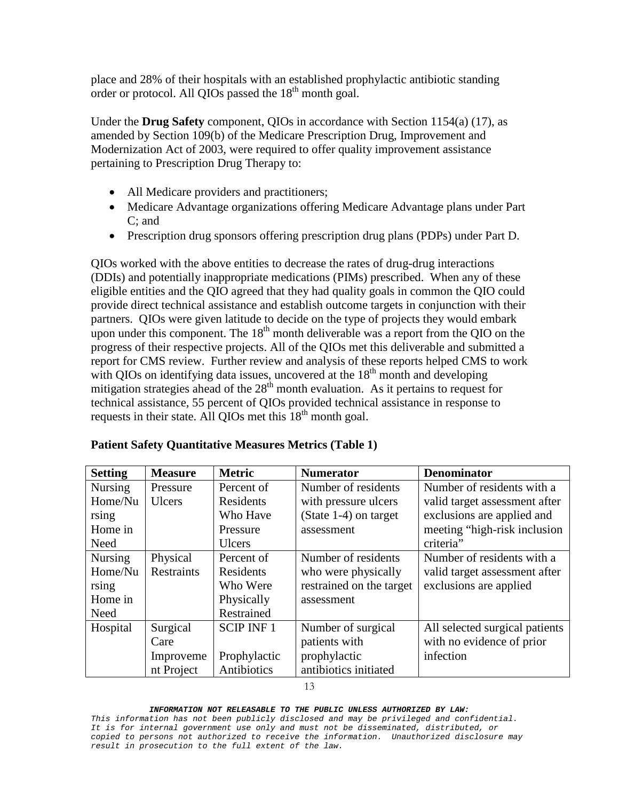place and 28% of their hospitals with an established prophylactic antibiotic standing order or protocol. All QIOs passed the  $18<sup>th</sup>$  month goal.

Under the **Drug Safety** component, QIOs in accordance with Section 1154(a) (17), as amended by Section 109(b) of the Medicare Prescription Drug, Improvement and Modernization Act of 2003, were required to offer quality improvement assistance pertaining to Prescription Drug Therapy to:

- All Medicare providers and practitioners;
- Medicare Advantage organizations offering Medicare Advantage plans under Part C; and
- Prescription drug sponsors offering prescription drug plans (PDPs) under Part D.

QIOs worked with the above entities to decrease the rates of drug-drug interactions (DDIs) and potentially inappropriate medications (PIMs) prescribed. When any of these eligible entities and the QIO agreed that they had quality goals in common the QIO could provide direct technical assistance and establish outcome targets in conjunction with their partners. QIOs were given latitude to decide on the type of projects they would embark upon under this component. The  $18<sup>th</sup>$  month deliverable was a report from the QIO on the progress of their respective projects. All of the QIOs met this deliverable and submitted a report for CMS review. Further review and analysis of these reports helped CMS to work with QIOs on identifying data issues, uncovered at the  $18<sup>th</sup>$  month and developing mitigation strategies ahead of the  $28<sup>th</sup>$  month evaluation. As it pertains to request for technical assistance, 55 percent of QIOs provided technical assistance in response to requests in their state. All QIOs met this  $18<sup>th</sup>$  month goal.

| <b>Setting</b> | <b>Measure</b>    | <b>Metric</b>    | <b>Numerator</b>         | <b>Denominator</b>             |
|----------------|-------------------|------------------|--------------------------|--------------------------------|
| <b>Nursing</b> | Pressure          | Percent of       | Number of residents      | Number of residents with a     |
| Home/Nu        | <b>Ulcers</b>     | Residents        | with pressure ulcers     | valid target assessment after  |
| rsing          |                   | Who Have         | (State $1-4$ ) on target | exclusions are applied and     |
| Home in        |                   | Pressure         | assessment               | meeting "high-risk inclusion"  |
| Need           |                   | <b>Ulcers</b>    |                          | criteria"                      |
| <b>Nursing</b> | Physical          | Percent of       | Number of residents      | Number of residents with a     |
| Home/Nu        | <b>Restraints</b> | Residents        | who were physically      | valid target assessment after  |
| rsing          |                   | Who Were         | restrained on the target | exclusions are applied         |
| Home in        |                   | Physically       | assessment               |                                |
| Need           |                   | Restrained       |                          |                                |
| Hospital       | Surgical          | <b>SCIP INF1</b> | Number of surgical       | All selected surgical patients |
|                | Care              |                  | patients with            | with no evidence of prior      |
|                | Improveme         | Prophylactic     | prophylactic             | infection                      |
|                | nt Project        | Antibiotics      | antibiotics initiated    |                                |

## **Patient Safety Quantitative Measures Metrics (Table 1)**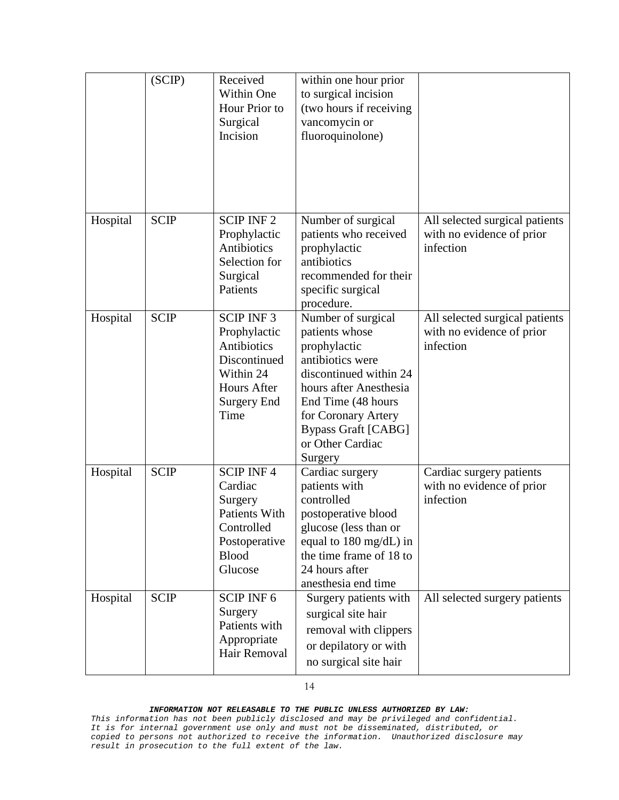|          | (SCIP)      | Received<br>Within One<br>Hour Prior to<br>Surgical<br>Incision                                                           | within one hour prior<br>to surgical incision<br>(two hours if receiving<br>vancomycin or<br>fluoroquinolone)                                                                                                                          |                                                                          |
|----------|-------------|---------------------------------------------------------------------------------------------------------------------------|----------------------------------------------------------------------------------------------------------------------------------------------------------------------------------------------------------------------------------------|--------------------------------------------------------------------------|
| Hospital | <b>SCIP</b> | <b>SCIP INF2</b><br>Prophylactic<br>Antibiotics<br>Selection for<br>Surgical<br>Patients                                  | Number of surgical<br>patients who received<br>prophylactic<br>antibiotics<br>recommended for their<br>specific surgical<br>procedure.                                                                                                 | All selected surgical patients<br>with no evidence of prior<br>infection |
| Hospital | <b>SCIP</b> | <b>SCIP INF3</b><br>Prophylactic<br>Antibiotics<br>Discontinued<br>Within 24<br>Hours After<br><b>Surgery End</b><br>Time | Number of surgical<br>patients whose<br>prophylactic<br>antibiotics were<br>discontinued within 24<br>hours after Anesthesia<br>End Time (48 hours<br>for Coronary Artery<br><b>Bypass Graft [CABG]</b><br>or Other Cardiac<br>Surgery | All selected surgical patients<br>with no evidence of prior<br>infection |
| Hospital | <b>SCIP</b> | <b>SCIP INF4</b><br>Cardiac<br>Surgery<br><b>Patients With</b><br>Controlled<br>Postoperative<br><b>Blood</b><br>Glucose  | Cardiac surgery<br>patients with<br>controlled<br>postoperative blood<br>glucose (less than or<br>equal to $180 \text{ mg/dL}$ ) in<br>the time frame of 18 to<br>24 hours after<br>anesthesia end time                                | Cardiac surgery patients<br>with no evidence of prior<br>infection       |
| Hospital | <b>SCIP</b> | <b>SCIP INF6</b><br>Surgery<br>Patients with<br>Appropriate<br>Hair Removal                                               | Surgery patients with<br>surgical site hair<br>removal with clippers<br>or depilatory or with<br>no surgical site hair                                                                                                                 | All selected surgery patients                                            |

*This information has not been publicly disclosed and may be privileged and confidential. It is for internal government use only and must not be disseminated, distributed, or copied to persons not authorized to receive the information. Unauthorized disclosure may result in prosecution to the full extent of the law.*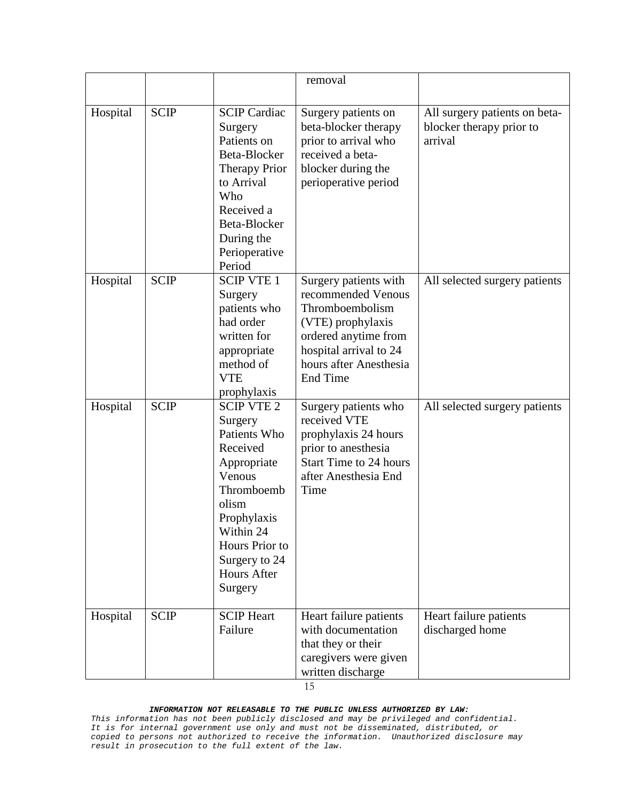|          |             |                                                                                                                                                                                                          | removal                                                                                                                                                                            |                                                                      |
|----------|-------------|----------------------------------------------------------------------------------------------------------------------------------------------------------------------------------------------------------|------------------------------------------------------------------------------------------------------------------------------------------------------------------------------------|----------------------------------------------------------------------|
| Hospital | <b>SCIP</b> | <b>SCIP Cardiac</b><br>Surgery<br>Patients on<br>Beta-Blocker<br><b>Therapy Prior</b><br>to Arrival<br>Who<br>Received a<br>Beta-Blocker<br>During the<br>Perioperative<br>Period                        | Surgery patients on<br>beta-blocker therapy<br>prior to arrival who<br>received a beta-<br>blocker during the<br>perioperative period                                              | All surgery patients on beta-<br>blocker therapy prior to<br>arrival |
| Hospital | <b>SCIP</b> | <b>SCIP VTE 1</b><br>Surgery<br>patients who<br>had order<br>written for<br>appropriate<br>method of<br><b>VTE</b><br>prophylaxis                                                                        | Surgery patients with<br>recommended Venous<br>Thromboembolism<br>(VTE) prophylaxis<br>ordered anytime from<br>hospital arrival to 24<br>hours after Anesthesia<br><b>End Time</b> | All selected surgery patients                                        |
| Hospital | <b>SCIP</b> | <b>SCIP VTE 2</b><br>Surgery<br>Patients Who<br>Received<br>Appropriate<br>Venous<br>Thromboemb<br>olism<br>Prophylaxis<br>Within 24<br>Hours Prior to<br>Surgery to 24<br><b>Hours After</b><br>Surgery | Surgery patients who<br>received VTE<br>prophylaxis 24 hours<br>prior to anesthesia<br><b>Start Time to 24 hours</b><br>after Anesthesia End<br>Time                               | All selected surgery patients                                        |
| Hospital | <b>SCIP</b> | <b>SCIP</b> Heart<br>Failure                                                                                                                                                                             | Heart failure patients<br>with documentation<br>that they or their<br>caregivers were given<br>written discharge<br>15                                                             | Heart failure patients<br>discharged home                            |

*This information has not been publicly disclosed and may be privileged and confidential. It is for internal government use only and must not be disseminated, distributed, or copied to persons not authorized to receive the information. Unauthorized disclosure may result in prosecution to the full extent of the law.*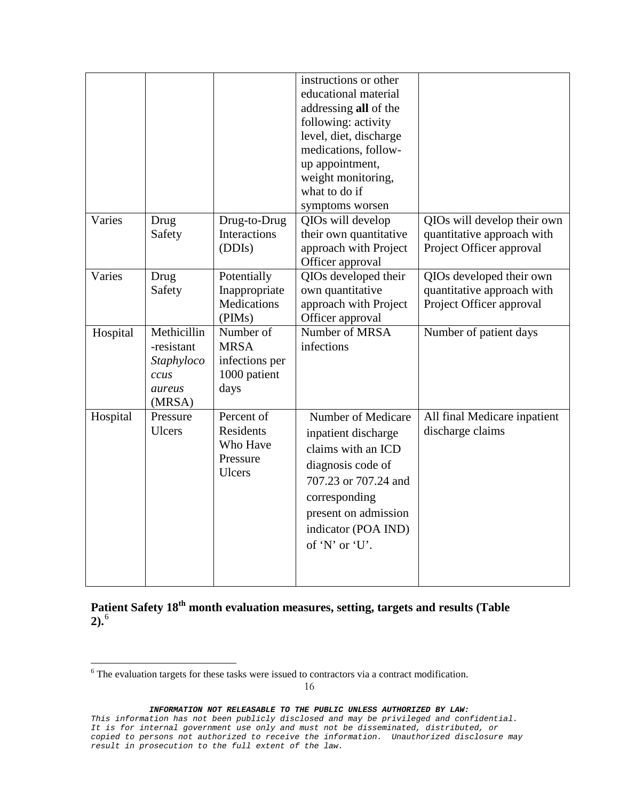|          |                                                                     |                                                                    | instructions or other<br>educational material<br>addressing all of the<br>following: activity<br>level, diet, discharge<br>medications, follow-<br>up appointment,<br>weight monitoring,<br>what to do if<br>symptoms worsen |                                                                                       |
|----------|---------------------------------------------------------------------|--------------------------------------------------------------------|------------------------------------------------------------------------------------------------------------------------------------------------------------------------------------------------------------------------------|---------------------------------------------------------------------------------------|
| Varies   | Drug<br>Safety                                                      | Drug-to-Drug<br>Interactions<br>(DDIs)                             | QIOs will develop<br>their own quantitative<br>approach with Project<br>Officer approval                                                                                                                                     | QIOs will develop their own<br>quantitative approach with<br>Project Officer approval |
| Varies   | Drug<br>Safety                                                      | Potentially<br>Inappropriate<br><b>Medications</b><br>(PIMs)       | QIOs developed their<br>own quantitative<br>approach with Project<br>Officer approval                                                                                                                                        | QIOs developed their own<br>quantitative approach with<br>Project Officer approval    |
| Hospital | Methicillin<br>-resistant<br>Staphyloco<br>ccus<br>aureus<br>(MRSA) | Number of<br><b>MRSA</b><br>infections per<br>1000 patient<br>days | Number of MRSA<br>infections                                                                                                                                                                                                 | Number of patient days                                                                |
| Hospital | Pressure<br><b>Ulcers</b>                                           | Percent of<br>Residents<br>Who Have<br>Pressure<br><b>Ulcers</b>   | Number of Medicare<br>inpatient discharge<br>claims with an ICD<br>diagnosis code of<br>707.23 or 707.24 and<br>corresponding<br>present on admission<br>indicator (POA IND)<br>of 'N' or 'U'.                               | All final Medicare inpatient<br>discharge claims                                      |

**Patient Safety 18th month evaluation measures, setting, targets and results (Table 2).**[6](#page-15-0)

<span id="page-15-0"></span><sup>6</sup> The evaluation targets for these tasks were issued to contractors via a contract modification.

*This information has not been publicly disclosed and may be privileged and confidential. It is for internal government use only and must not be disseminated, distributed, or copied to persons not authorized to receive the information. Unauthorized disclosure may result in prosecution to the full extent of the law.*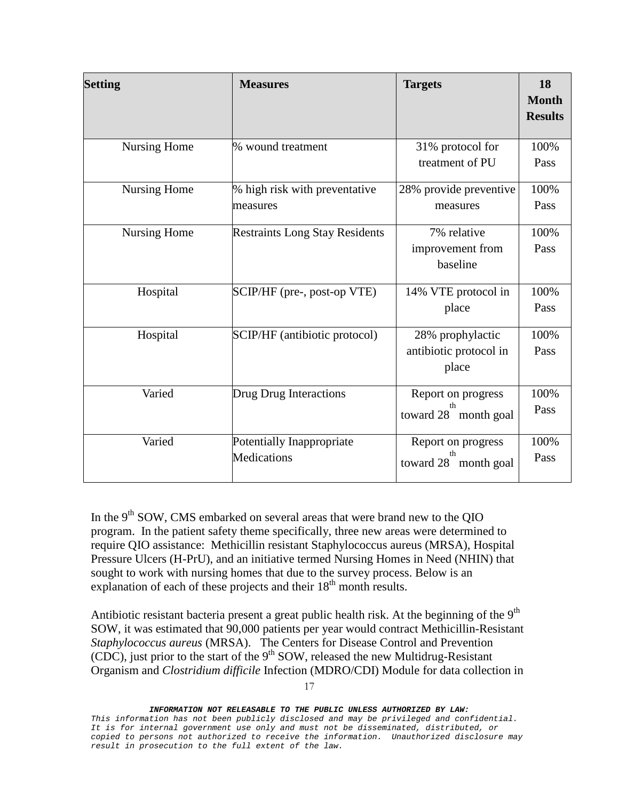| <b>Setting</b>      | <b>Measures</b>                           | <b>Targets</b>                                      | 18<br><b>Month</b><br><b>Results</b> |
|---------------------|-------------------------------------------|-----------------------------------------------------|--------------------------------------|
| <b>Nursing Home</b> | % wound treatment                         | 31% protocol for<br>treatment of PU                 | 100%<br>Pass                         |
| <b>Nursing Home</b> | % high risk with preventative<br>measures | 28% provide preventive<br>measures                  | 100%<br>Pass                         |
| <b>Nursing Home</b> | <b>Restraints Long Stay Residents</b>     | 7% relative<br>improvement from<br>baseline         | 100%<br>Pass                         |
| Hospital            | SCIP/HF (pre-, post-op VTE)               | 14% VTE protocol in<br>place                        | 100%<br>Pass                         |
| Hospital            | SCIP/HF (antibiotic protocol)             | 28% prophylactic<br>antibiotic protocol in<br>place | 100%<br>Pass                         |
| Varied              | Drug Drug Interactions                    | Report on progress<br>th<br>toward 28 month goal    | 100%<br>Pass                         |
| Varied              | Potentially Inappropriate<br>Medications  | Report on progress<br>th<br>toward 28<br>month goal | 100%<br>Pass                         |

In the  $9<sup>th</sup>$  SOW, CMS embarked on several areas that were brand new to the QIO program. In the patient safety theme specifically, three new areas were determined to require QIO assistance: Methicillin resistant Staphylococcus aureus (MRSA), Hospital Pressure Ulcers (H-PrU), and an initiative termed Nursing Homes in Need (NHIN) that sought to work with nursing homes that due to the survey process. Below is an explanation of each of these projects and their  $18<sup>th</sup>$  month results.

Antibiotic resistant bacteria present a great public health risk. At the beginning of the  $9<sup>th</sup>$ SOW, it was estimated that 90,000 patients per year would contract Methicillin-Resistant *Staphylococcus aureus* (MRSA). The Centers for Disease Control and Prevention  $(CDC)$ , just prior to the start of the 9<sup>th</sup> SOW, released the new Multidrug-Resistant Organism and *Clostridium difficile* Infection (MDRO/CDI) Module for data collection in

17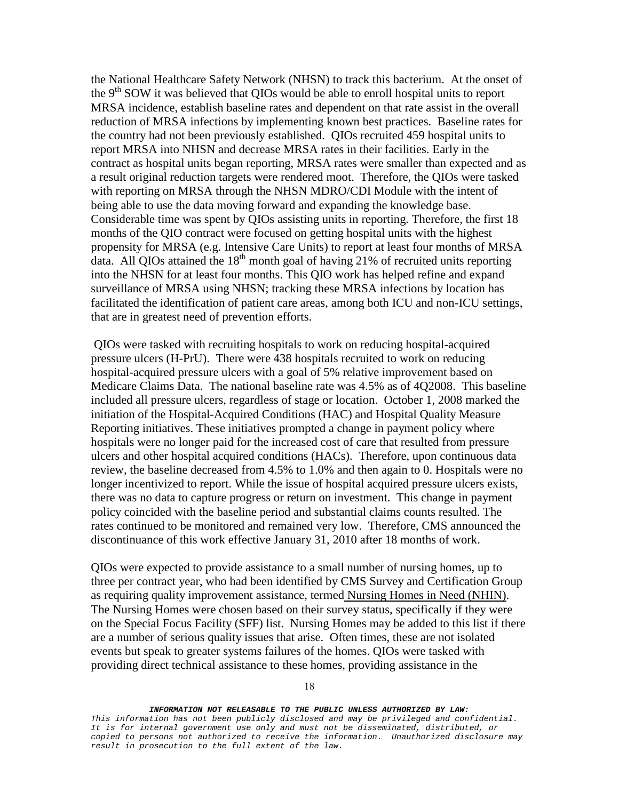the National Healthcare Safety Network (NHSN) to track this bacterium. At the onset of the 9<sup>th</sup> SOW it was believed that QIOs would be able to enroll hospital units to report MRSA incidence, establish baseline rates and dependent on that rate assist in the overall reduction of MRSA infections by implementing known best practices. Baseline rates for the country had not been previously established. QIOs recruited 459 hospital units to report MRSA into NHSN and decrease MRSA rates in their facilities. Early in the contract as hospital units began reporting, MRSA rates were smaller than expected and as a result original reduction targets were rendered moot. Therefore, the QIOs were tasked with reporting on MRSA through the NHSN MDRO/CDI Module with the intent of being able to use the data moving forward and expanding the knowledge base. Considerable time was spent by QIOs assisting units in reporting. Therefore, the first 18 months of the QIO contract were focused on getting hospital units with the highest propensity for MRSA (e.g. Intensive Care Units) to report at least four months of MRSA data. All QIOs attained the  $18<sup>th</sup>$  month goal of having 21% of recruited units reporting into the NHSN for at least four months. This QIO work has helped refine and expand surveillance of MRSA using NHSN; tracking these MRSA infections by location has facilitated the identification of patient care areas, among both ICU and non-ICU settings, that are in greatest need of prevention efforts.

QIOs were tasked with recruiting hospitals to work on reducing hospital-acquired pressure ulcers (H-PrU). There were 438 hospitals recruited to work on reducing hospital-acquired pressure ulcers with a goal of 5% relative improvement based on Medicare Claims Data. The national baseline rate was 4.5% as of 4Q2008. This baseline included all pressure ulcers, regardless of stage or location. October 1, 2008 marked the initiation of the Hospital-Acquired Conditions (HAC) and Hospital Quality Measure Reporting initiatives. These initiatives prompted a change in payment policy where hospitals were no longer paid for the increased cost of care that resulted from pressure ulcers and other hospital acquired conditions (HACs). Therefore, upon continuous data review, the baseline decreased from 4.5% to 1.0% and then again to 0. Hospitals were no longer incentivized to report. While the issue of hospital acquired pressure ulcers exists, there was no data to capture progress or return on investment. This change in payment policy coincided with the baseline period and substantial claims counts resulted. The rates continued to be monitored and remained very low. Therefore, CMS announced the discontinuance of this work effective January 31, 2010 after 18 months of work.

QIOs were expected to provide assistance to a small number of nursing homes, up to three per contract year, who had been identified by CMS Survey and Certification Group as requiring quality improvement assistance, termed Nursing Homes in Need (NHIN). The Nursing Homes were chosen based on their survey status, specifically if they were on the Special Focus Facility (SFF) list. Nursing Homes may be added to this list if there are a number of serious quality issues that arise. Often times, these are not isolated events but speak to greater systems failures of the homes. QIOs were tasked with providing direct technical assistance to these homes, providing assistance in the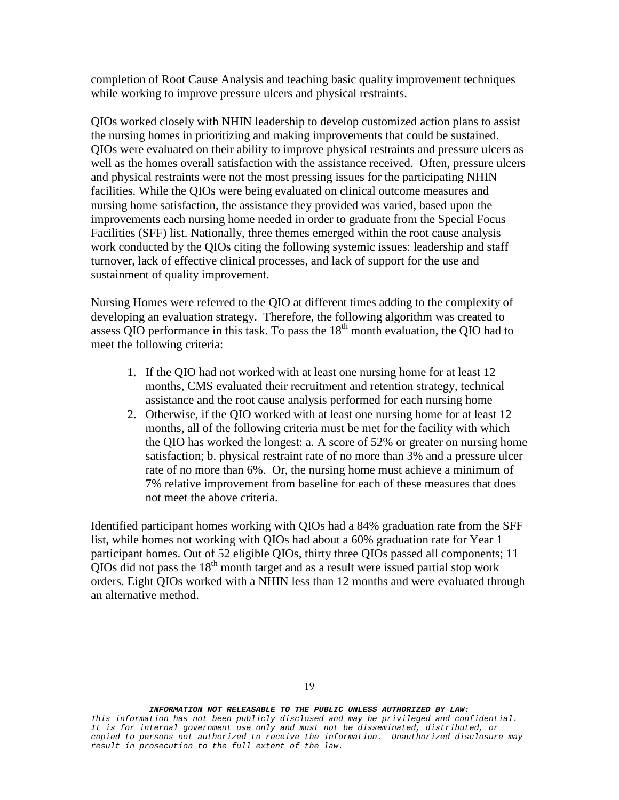completion of Root Cause Analysis and teaching basic quality improvement techniques while working to improve pressure ulcers and physical restraints.

QIOs worked closely with NHIN leadership to develop customized action plans to assist the nursing homes in prioritizing and making improvements that could be sustained. QIOs were evaluated on their ability to improve physical restraints and pressure ulcers as well as the homes overall satisfaction with the assistance received. Often, pressure ulcers and physical restraints were not the most pressing issues for the participating NHIN facilities. While the QIOs were being evaluated on clinical outcome measures and nursing home satisfaction, the assistance they provided was varied, based upon the improvements each nursing home needed in order to graduate from the Special Focus Facilities (SFF) list. Nationally, three themes emerged within the root cause analysis work conducted by the QIOs citing the following systemic issues: leadership and staff turnover, lack of effective clinical processes, and lack of support for the use and sustainment of quality improvement.

Nursing Homes were referred to the QIO at different times adding to the complexity of developing an evaluation strategy. Therefore, the following algorithm was created to assess QIO performance in this task. To pass the  $18<sup>th</sup>$  month evaluation, the QIO had to meet the following criteria:

- 1. If the QIO had not worked with at least one nursing home for at least 12 months, CMS evaluated their recruitment and retention strategy, technical assistance and the root cause analysis performed for each nursing home
- 2. Otherwise, if the QIO worked with at least one nursing home for at least 12 months, all of the following criteria must be met for the facility with which the QIO has worked the longest: a. A score of 52% or greater on nursing home satisfaction; b. physical restraint rate of no more than 3% and a pressure ulcer rate of no more than 6%. Or, the nursing home must achieve a minimum of 7% relative improvement from baseline for each of these measures that does not meet the above criteria.

Identified participant homes working with QIOs had a 84% graduation rate from the SFF list, while homes not working with QIOs had about a 60% graduation rate for Year 1 participant homes. Out of 52 eligible QIOs, thirty three QIOs passed all components; 11  $\overline{O}$ IOs did not pass the 18<sup>th</sup> month target and as a result were issued partial stop work orders. Eight QIOs worked with a NHIN less than 12 months and were evaluated through an alternative method.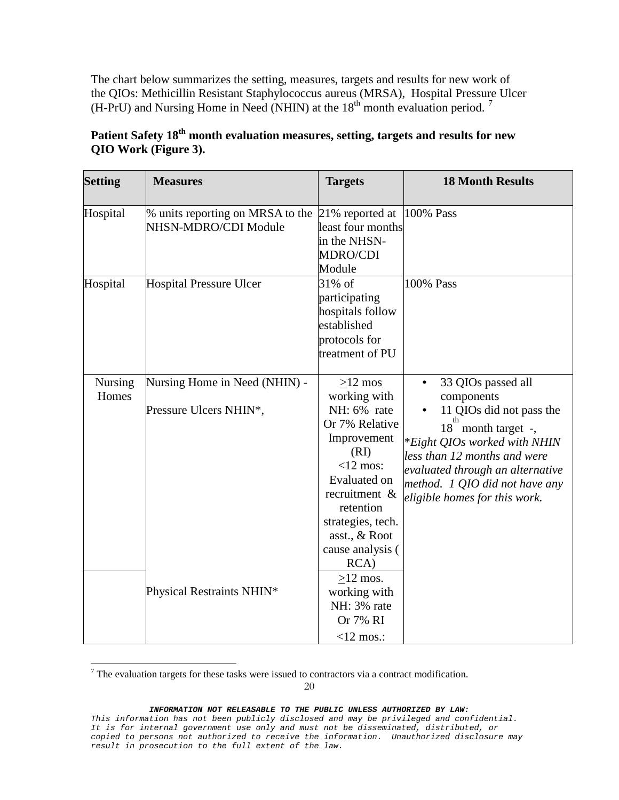The chart below summarizes the setting, measures, targets and results for new work of the QIOs: Methicillin Resistant Staphylococcus aureus (MRSA), Hospital Pressure Ulcer (H-PrU) and Nursing Home in Need (NHIN) at the  $18<sup>th</sup>$  month evaluation period.<sup>[7](#page-19-0)</sup>

| <b>Setting</b>   | <b>Measures</b>                                          | <b>Targets</b>                                                                                                                                                                                                   | <b>18 Month Results</b>                                                                                                                                                                                                                                   |
|------------------|----------------------------------------------------------|------------------------------------------------------------------------------------------------------------------------------------------------------------------------------------------------------------------|-----------------------------------------------------------------------------------------------------------------------------------------------------------------------------------------------------------------------------------------------------------|
| Hospital         | % units reporting on MRSA to the<br>NHSN-MDRO/CDI Module | 21% reported at<br>least four months<br>in the NHSN-<br>MDRO/CDI<br>Module                                                                                                                                       | 100% Pass                                                                                                                                                                                                                                                 |
| Hospital         | <b>Hospital Pressure Ulcer</b>                           | 31% of<br>participating<br>hospitals follow<br>established<br>protocols for<br>treatment of PU                                                                                                                   | 100% Pass                                                                                                                                                                                                                                                 |
| Nursing<br>Homes | Nursing Home in Need (NHIN) -<br>Pressure Ulcers NHIN*,  | $>12$ mos<br>working with<br>NH: 6% rate<br>Or 7% Relative<br>Improvement<br>(RI)<br>$<$ 12 mos:<br>Evaluated on<br>recruitment &<br>retention<br>strategies, tech.<br>asst., & Root<br>cause analysis (<br>RCA) | 33 QIOs passed all<br>components<br>11 QIOs did not pass the<br>18 month target -,<br>*Eight QIOs worked with NHIN<br>less than 12 months and were<br>evaluated through an alternative<br>method. 1 QIO did not have any<br>eligible homes for this work. |
|                  | Physical Restraints NHIN*                                | $>12$ mos.<br>working with<br>NH: 3% rate<br>Or 7% RI<br>$<$ 12 mos.:                                                                                                                                            |                                                                                                                                                                                                                                                           |

# Patient Safety 18<sup>th</sup> month evaluation measures, setting, targets and results for new **QIO Work (Figure 3).**

<span id="page-19-0"></span> $7$  The evaluation targets for these tasks were issued to contractors via a contract modification.

20

*This information has not been publicly disclosed and may be privileged and confidential. It is for internal government use only and must not be disseminated, distributed, or copied to persons not authorized to receive the information. Unauthorized disclosure may result in prosecution to the full extent of the law.*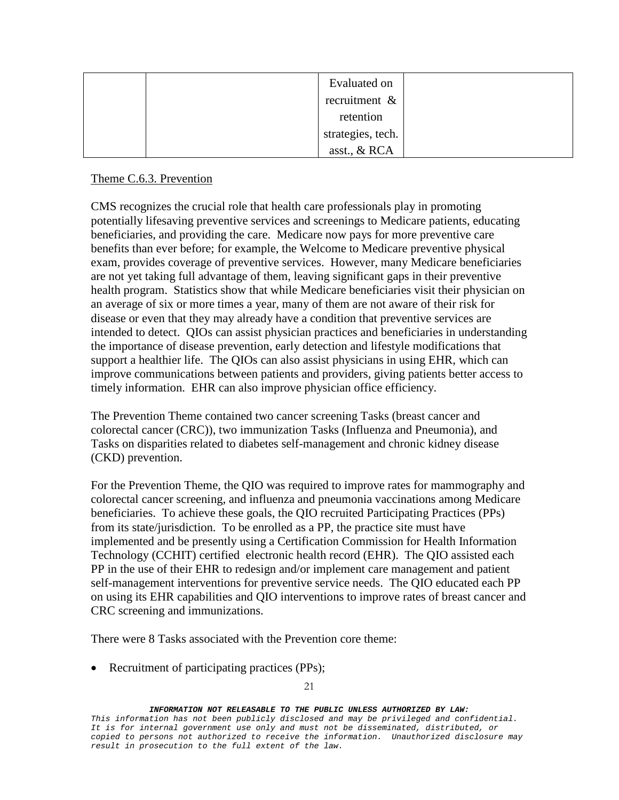|  | Evaluated on      |  |
|--|-------------------|--|
|  | recruitment &     |  |
|  | retention         |  |
|  | strategies, tech. |  |
|  | asst., & RCA      |  |

## Theme C.6.3. Prevention

CMS recognizes the crucial role that health care professionals play in promoting potentially lifesaving preventive services and screenings to Medicare patients, educating beneficiaries, and providing the care. Medicare now pays for more preventive care benefits than ever before; for example, the Welcome to Medicare preventive physical exam, provides coverage of preventive services. However, many Medicare beneficiaries are not yet taking full advantage of them, leaving significant gaps in their preventive health program. Statistics show that while Medicare beneficiaries visit their physician on an average of six or more times a year, many of them are not aware of their risk for disease or even that they may already have a condition that preventive services are intended to detect. QIOs can assist physician practices and beneficiaries in understanding the importance of disease prevention, early detection and lifestyle modifications that support a healthier life. The QIOs can also assist physicians in using EHR, which can improve communications between patients and providers, giving patients better access to timely information. EHR can also improve physician office efficiency.

The Prevention Theme contained two cancer screening Tasks (breast cancer and colorectal cancer (CRC)), two immunization Tasks (Influenza and Pneumonia), and Tasks on disparities related to diabetes self-management and chronic kidney disease (CKD) prevention.

For the Prevention Theme, the QIO was required to improve rates for mammography and colorectal cancer screening, and influenza and pneumonia vaccinations among Medicare beneficiaries. To achieve these goals, the QIO recruited Participating Practices (PPs) from its state/jurisdiction. To be enrolled as a PP, the practice site must have implemented and be presently using a Certification Commission for Health Information Technology (CCHIT) certified electronic health record (EHR). The QIO assisted each PP in the use of their EHR to redesign and/or implement care management and patient self-management interventions for preventive service needs. The QIO educated each PP on using its EHR capabilities and QIO interventions to improve rates of breast cancer and CRC screening and immunizations.

There were 8 Tasks associated with the Prevention core theme:

• Recruitment of participating practices (PPs);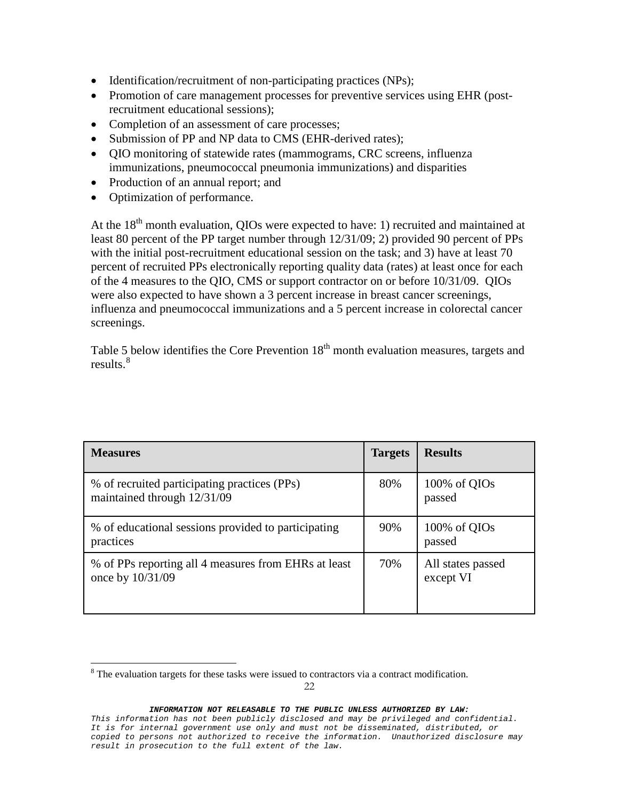- Identification/recruitment of non-participating practices (NPs);
- Promotion of care management processes for preventive services using EHR (postrecruitment educational sessions);
- Completion of an assessment of care processes;
- Submission of PP and NP data to CMS (EHR-derived rates);
- QIO monitoring of statewide rates (mammograms, CRC screens, influenza immunizations, pneumococcal pneumonia immunizations) and disparities
- Production of an annual report; and
- Optimization of performance.

At the  $18<sup>th</sup>$  month evaluation, OIOs were expected to have: 1) recruited and maintained at least 80 percent of the PP target number through 12/31/09; 2) provided 90 percent of PPs with the initial post-recruitment educational session on the task; and 3) have at least 70 percent of recruited PPs electronically reporting quality data (rates) at least once for each of the 4 measures to the QIO, CMS or support contractor on or before 10/31/09. QIOs were also expected to have shown a 3 percent increase in breast cancer screenings, influenza and pneumococcal immunizations and a 5 percent increase in colorectal cancer screenings.

Table 5 below identifies the Core Prevention  $18<sup>th</sup>$  month evaluation measures, targets and results. [8](#page-21-0)

| <b>Measures</b>                                                             | <b>Targets</b> | <b>Results</b>                 |
|-----------------------------------------------------------------------------|----------------|--------------------------------|
| % of recruited participating practices (PPs)<br>maintained through 12/31/09 | 80%            | 100% of QIOs<br>passed         |
| % of educational sessions provided to participating<br>practices            | 90%            | 100% of QIOs<br>passed         |
| % of PPs reporting all 4 measures from EHRs at least<br>once by 10/31/09    | 70%            | All states passed<br>except VI |

<span id="page-21-0"></span><sup>&</sup>lt;sup>8</sup> The evaluation targets for these tasks were issued to contractors via a contract modification.

*This information has not been publicly disclosed and may be privileged and confidential. It is for internal government use only and must not be disseminated, distributed, or copied to persons not authorized to receive the information. Unauthorized disclosure may result in prosecution to the full extent of the law.*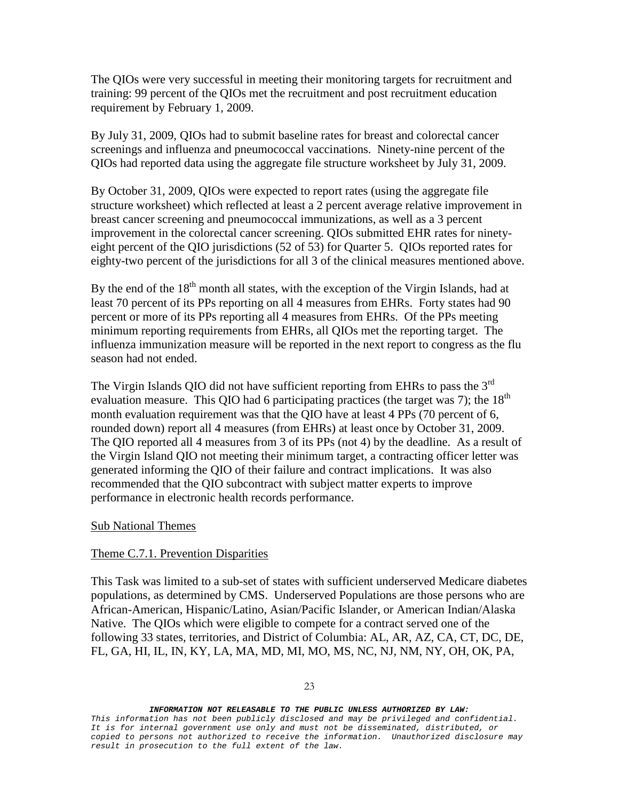The QIOs were very successful in meeting their monitoring targets for recruitment and training: 99 percent of the QIOs met the recruitment and post recruitment education requirement by February 1, 2009.

By July 31, 2009, QIOs had to submit baseline rates for breast and colorectal cancer screenings and influenza and pneumococcal vaccinations. Ninety-nine percent of the QIOs had reported data using the aggregate file structure worksheet by July 31, 2009.

By October 31, 2009, QIOs were expected to report rates (using the aggregate file structure worksheet) which reflected at least a 2 percent average relative improvement in breast cancer screening and pneumococcal immunizations, as well as a 3 percent improvement in the colorectal cancer screening. QIOs submitted EHR rates for ninetyeight percent of the QIO jurisdictions (52 of 53) for Quarter 5. QIOs reported rates for eighty-two percent of the jurisdictions for all 3 of the clinical measures mentioned above.

By the end of the  $18<sup>th</sup>$  month all states, with the exception of the Virgin Islands, had at least 70 percent of its PPs reporting on all 4 measures from EHRs. Forty states had 90 percent or more of its PPs reporting all 4 measures from EHRs. Of the PPs meeting minimum reporting requirements from EHRs, all QIOs met the reporting target. The influenza immunization measure will be reported in the next report to congress as the flu season had not ended.

The Virgin Islands QIO did not have sufficient reporting from EHRs to pass the  $3<sup>rd</sup>$ evaluation measure. This QIO had 6 participating practices (the target was 7); the  $18<sup>th</sup>$ month evaluation requirement was that the QIO have at least 4 PPs (70 percent of 6, rounded down) report all 4 measures (from EHRs) at least once by October 31, 2009. The QIO reported all 4 measures from 3 of its PPs (not 4) by the deadline. As a result of the Virgin Island QIO not meeting their minimum target, a contracting officer letter was generated informing the QIO of their failure and contract implications. It was also recommended that the QIO subcontract with subject matter experts to improve performance in electronic health records performance.

### Sub National Themes

### Theme C.7.1. Prevention Disparities

This Task was limited to a sub-set of states with sufficient underserved Medicare diabetes populations, as determined by CMS. Underserved Populations are those persons who are African-American, Hispanic/Latino, Asian/Pacific Islander, or American Indian/Alaska Native. The QIOs which were eligible to compete for a contract served one of the following 33 states, territories, and District of Columbia: AL, AR, AZ, CA, CT, DC, DE, FL, GA, HI, IL, IN, KY, LA, MA, MD, MI, MO, MS, NC, NJ, NM, NY, OH, OK, PA,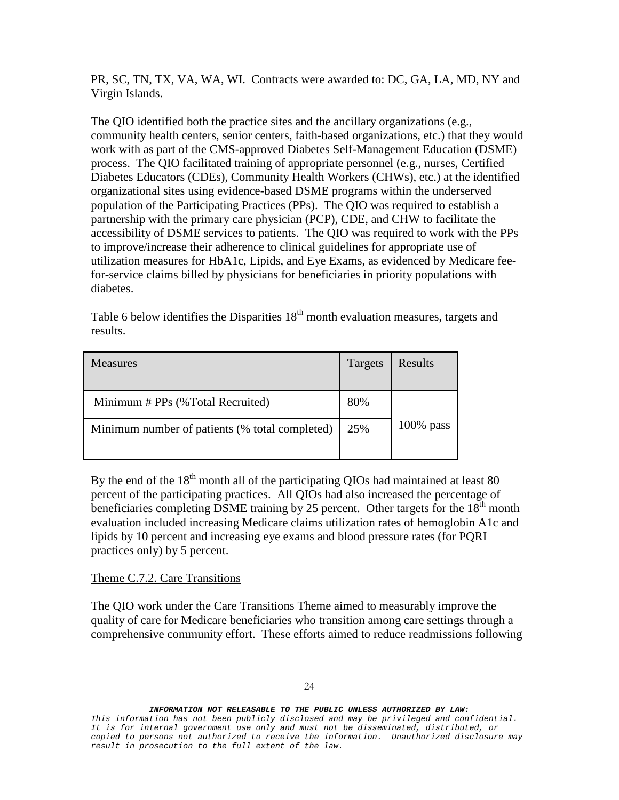PR, SC, TN, TX, VA, WA, WI. Contracts were awarded to: DC, GA, LA, MD, NY and Virgin Islands.

The QIO identified both the practice sites and the ancillary organizations (e.g., community health centers, senior centers, faith-based organizations, etc.) that they would work with as part of the CMS-approved Diabetes Self-Management Education (DSME) process. The QIO facilitated training of appropriate personnel (e.g., nurses, Certified Diabetes Educators (CDEs), Community Health Workers (CHWs), etc.) at the identified organizational sites using evidence-based DSME programs within the underserved population of the Participating Practices (PPs). The QIO was required to establish a partnership with the primary care physician (PCP), CDE, and CHW to facilitate the accessibility of DSME services to patients. The QIO was required to work with the PPs to improve/increase their adherence to clinical guidelines for appropriate use of utilization measures for HbA1c, Lipids, and Eye Exams, as evidenced by Medicare feefor-service claims billed by physicians for beneficiaries in priority populations with diabetes.

Table 6 below identifies the Disparities  $18<sup>th</sup>$  month evaluation measures, targets and results.

| <b>Measures</b>                                | Targets | Results      |
|------------------------------------------------|---------|--------------|
| Minimum # PPs (%Total Recruited)               | 80%     |              |
| Minimum number of patients (% total completed) | 25%     | $100\%$ pass |

By the end of the  $18<sup>th</sup>$  month all of the participating QIOs had maintained at least 80 percent of the participating practices. All QIOs had also increased the percentage of beneficiaries completing DSME training by 25 percent. Other targets for the  $18<sup>th</sup>$  month evaluation included increasing Medicare claims utilization rates of hemoglobin A1c and lipids by 10 percent and increasing eye exams and blood pressure rates (for PQRI practices only) by 5 percent.

## Theme C.7.2. Care Transitions

The QIO work under the Care Transitions Theme aimed to measurably improve the quality of care for Medicare beneficiaries who transition among care settings through a comprehensive community effort. These efforts aimed to reduce readmissions following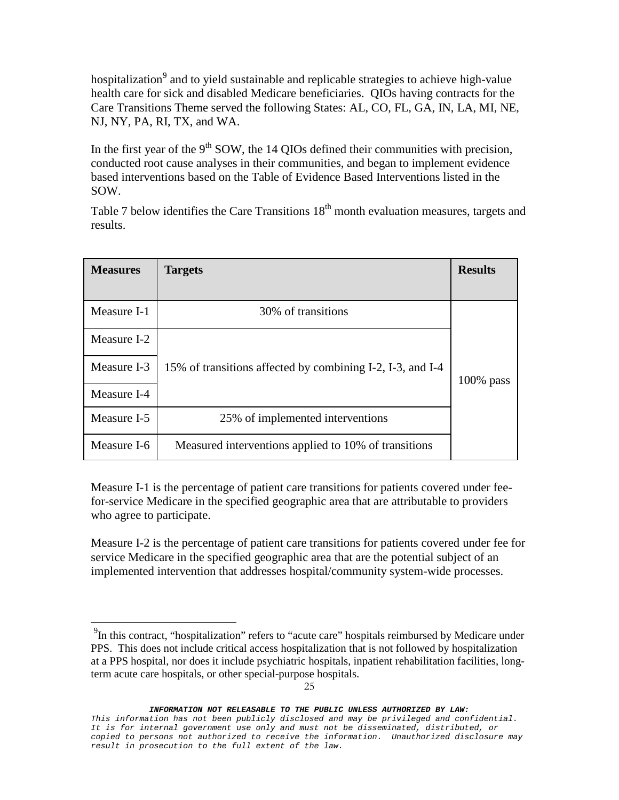hospitalization<sup>[9](#page-24-0)</sup> and to yield sustainable and replicable strategies to achieve high-value health care for sick and disabled Medicare beneficiaries. QIOs having contracts for the Care Transitions Theme served the following States: AL, CO, FL, GA, IN, LA, MI, NE, NJ, NY, PA, RI, TX, and WA.

In the first year of the  $9<sup>th</sup>$  SOW, the 14 OIOs defined their communities with precision, conducted root cause analyses in their communities, and began to implement evidence based interventions based on the Table of Evidence Based Interventions listed in the SOW.

Table 7 below identifies the Care Transitions  $18<sup>th</sup>$  month evaluation measures, targets and results.

| <b>Measures</b> | <b>Targets</b>                                             | <b>Results</b> |
|-----------------|------------------------------------------------------------|----------------|
| Measure I-1     | 30% of transitions                                         |                |
| Measure I-2     |                                                            |                |
| Measure I-3     | 15% of transitions affected by combining I-2, I-3, and I-4 | $100\%$ pass   |
| Measure I-4     |                                                            |                |
| Measure I-5     | 25% of implemented interventions                           |                |
| Measure I-6     | Measured interventions applied to 10% of transitions       |                |

Measure I-1 is the percentage of patient care transitions for patients covered under feefor-service Medicare in the specified geographic area that are attributable to providers who agree to participate.

Measure I-2 is the percentage of patient care transitions for patients covered under fee for service Medicare in the specified geographic area that are the potential subject of an implemented intervention that addresses hospital/community system-wide processes.

<span id="page-24-0"></span><sup>&</sup>lt;sup>9</sup>In this contract, "hospitalization" refers to "acute care" hospitals reimbursed by Medicare under PPS. This does not include critical access hospitalization that is not followed by hospitalization at a PPS hospital, nor does it include psychiatric hospitals, inpatient rehabilitation facilities, longterm acute care hospitals, or other special-purpose hospitals.

*INFORMATION NOT RELEASABLE TO THE PUBLIC UNLESS AUTHORIZED BY LAW:*

*This information has not been publicly disclosed and may be privileged and confidential. It is for internal government use only and must not be disseminated, distributed, or copied to persons not authorized to receive the information. Unauthorized disclosure may result in prosecution to the full extent of the law.*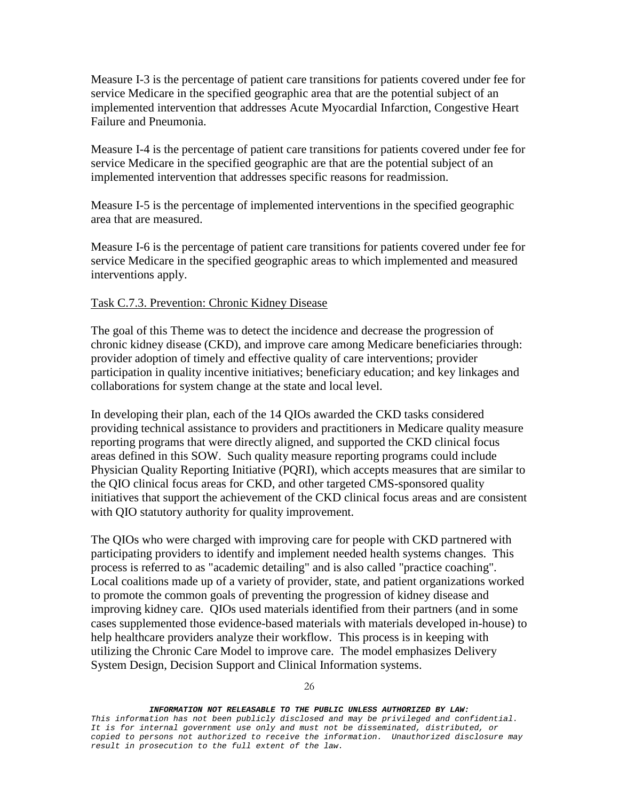Measure I-3 is the percentage of patient care transitions for patients covered under fee for service Medicare in the specified geographic area that are the potential subject of an implemented intervention that addresses Acute Myocardial Infarction, Congestive Heart Failure and Pneumonia.

Measure I-4 is the percentage of patient care transitions for patients covered under fee for service Medicare in the specified geographic are that are the potential subject of an implemented intervention that addresses specific reasons for readmission.

Measure I-5 is the percentage of implemented interventions in the specified geographic area that are measured.

Measure I-6 is the percentage of patient care transitions for patients covered under fee for service Medicare in the specified geographic areas to which implemented and measured interventions apply.

### Task C.7.3. Prevention: Chronic Kidney Disease

The goal of this Theme was to detect the incidence and decrease the progression of chronic kidney disease (CKD), and improve care among Medicare beneficiaries through: provider adoption of timely and effective quality of care interventions; provider participation in quality incentive initiatives; beneficiary education; and key linkages and collaborations for system change at the state and local level.

In developing their plan, each of the 14 QIOs awarded the CKD tasks considered providing technical assistance to providers and practitioners in Medicare quality measure reporting programs that were directly aligned, and supported the CKD clinical focus areas defined in this SOW. Such quality measure reporting programs could include Physician Quality Reporting Initiative (PQRI), which accepts measures that are similar to the QIO clinical focus areas for CKD, and other targeted CMS-sponsored quality initiatives that support the achievement of the CKD clinical focus areas and are consistent with QIO statutory authority for quality improvement.

The QIOs who were charged with improving care for people with CKD partnered with participating providers to identify and implement needed health systems changes. This process is referred to as "academic detailing" and is also called "practice coaching". Local coalitions made up of a variety of provider, state, and patient organizations worked to promote the common goals of preventing the progression of kidney disease and improving kidney care. QIOs used materials identified from their partners (and in some cases supplemented those evidence-based materials with materials developed in-house) to help healthcare providers analyze their workflow. This process is in keeping with utilizing the Chronic Care Model to improve care. The model emphasizes Delivery System Design, Decision Support and Clinical Information systems.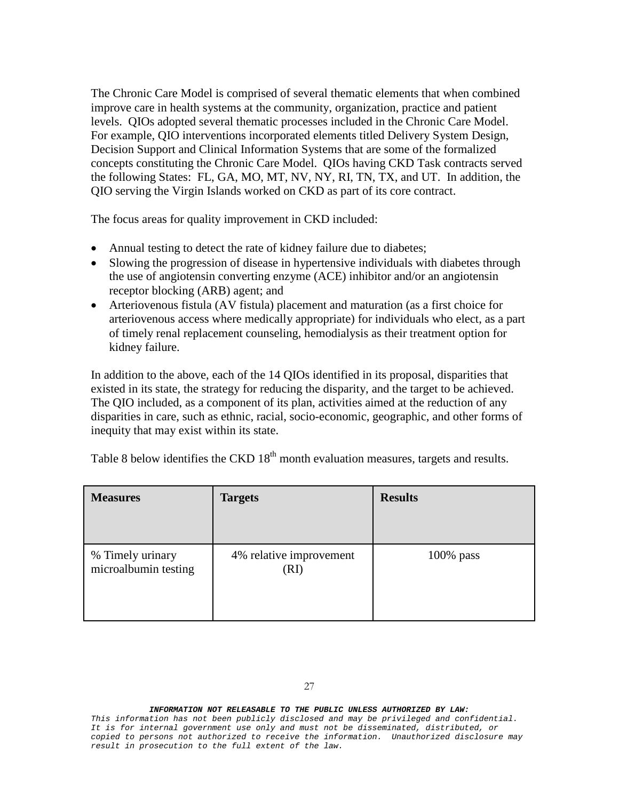The Chronic Care Model is comprised of several thematic elements that when combined improve care in health systems at the community, organization, practice and patient levels. QIOs adopted several thematic processes included in the Chronic Care Model. For example, QIO interventions incorporated elements titled Delivery System Design, Decision Support and Clinical Information Systems that are some of the formalized concepts constituting the Chronic Care Model. QIOs having CKD Task contracts served the following States: FL, GA, MO, MT, NV, NY, RI, TN, TX, and UT. In addition, the QIO serving the Virgin Islands worked on CKD as part of its core contract.

The focus areas for quality improvement in CKD included:

- Annual testing to detect the rate of kidney failure due to diabetes;
- Slowing the progression of disease in hypertensive individuals with diabetes through the use of angiotensin converting enzyme (ACE) inhibitor and/or an angiotensin receptor blocking (ARB) agent; and
- Arteriovenous fistula (AV fistula) placement and maturation (as a first choice for arteriovenous access where medically appropriate) for individuals who elect, as a part of timely renal replacement counseling, hemodialysis as their treatment option for kidney failure.

In addition to the above, each of the 14 QIOs identified in its proposal, disparities that existed in its state, the strategy for reducing the disparity, and the target to be achieved. The QIO included, as a component of its plan, activities aimed at the reduction of any disparities in care, such as ethnic, racial, socio-economic, geographic, and other forms of inequity that may exist within its state.

| <b>Measures</b>                                                             | <b>Targets</b> | <b>Results</b> |
|-----------------------------------------------------------------------------|----------------|----------------|
| % Timely urinary<br>4% relative improvement<br>microalbumin testing<br>(RI) |                | $100\%$ pass   |

Table 8 below identifies the CKD  $18<sup>th</sup>$  month evaluation measures, targets and results.

#### *INFORMATION NOT RELEASABLE TO THE PUBLIC UNLESS AUTHORIZED BY LAW:*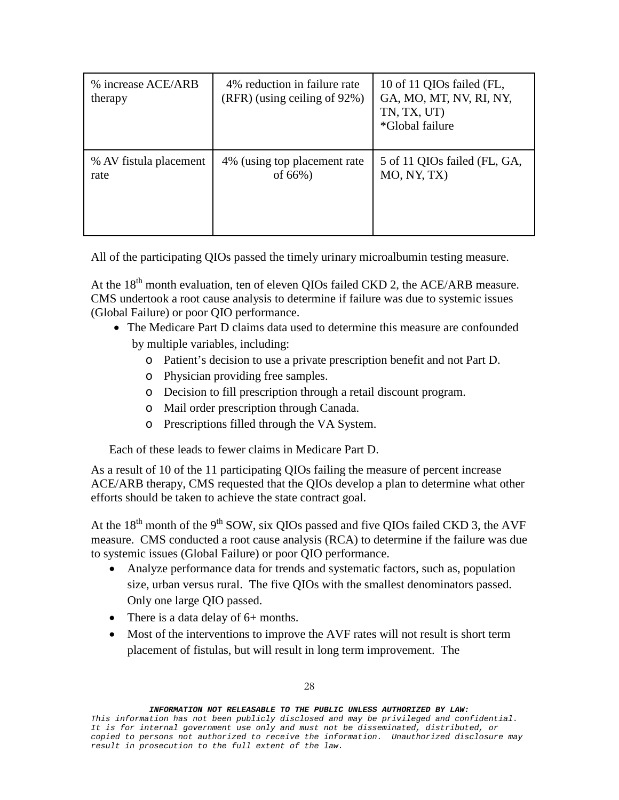| % increase ACE/ARB<br>therapy | 4% reduction in failure rate<br>$(RFR)$ (using ceiling of 92%) | 10 of 11 QIOs failed (FL,<br>GA, MO, MT, NV, RI, NY,<br>TN, TX, UT)<br>*Global failure |
|-------------------------------|----------------------------------------------------------------|----------------------------------------------------------------------------------------|
| % AV fistula placement        | 4% (using top placement rate                                   | 5 of 11 QIOs failed (FL, GA,                                                           |
| rate                          | of $66\%$ )                                                    | MO, NY, TX)                                                                            |

All of the participating QIOs passed the timely urinary microalbumin testing measure.

At the  $18<sup>th</sup>$  month evaluation, ten of eleven QIOs failed CKD 2, the ACE/ARB measure. CMS undertook a root cause analysis to determine if failure was due to systemic issues (Global Failure) or poor QIO performance.

- The Medicare Part D claims data used to determine this measure are confounded by multiple variables, including:
	- o Patient's decision to use a private prescription benefit and not Part D.
	- o Physician providing free samples.
	- o Decision to fill prescription through a retail discount program.
	- o Mail order prescription through Canada.
	- o Prescriptions filled through the VA System.

Each of these leads to fewer claims in Medicare Part D.

As a result of 10 of the 11 participating QIOs failing the measure of percent increase ACE/ARB therapy, CMS requested that the QIOs develop a plan to determine what other efforts should be taken to achieve the state contract goal.

At the  $18<sup>th</sup>$  month of the 9<sup>th</sup> SOW, six QIOs passed and five QIOs failed CKD 3, the AVF measure. CMS conducted a root cause analysis (RCA) to determine if the failure was due to systemic issues (Global Failure) or poor QIO performance.

- Analyze performance data for trends and systematic factors, such as, population size, urban versus rural. The five QIOs with the smallest denominators passed. Only one large QIO passed.
- There is a data delay of 6+ months.
- Most of the interventions to improve the AVF rates will not result is short term placement of fistulas, but will result in long term improvement. The

*This information has not been publicly disclosed and may be privileged and confidential. It is for internal government use only and must not be disseminated, distributed, or copied to persons not authorized to receive the information. Unauthorized disclosure may result in prosecution to the full extent of the law.*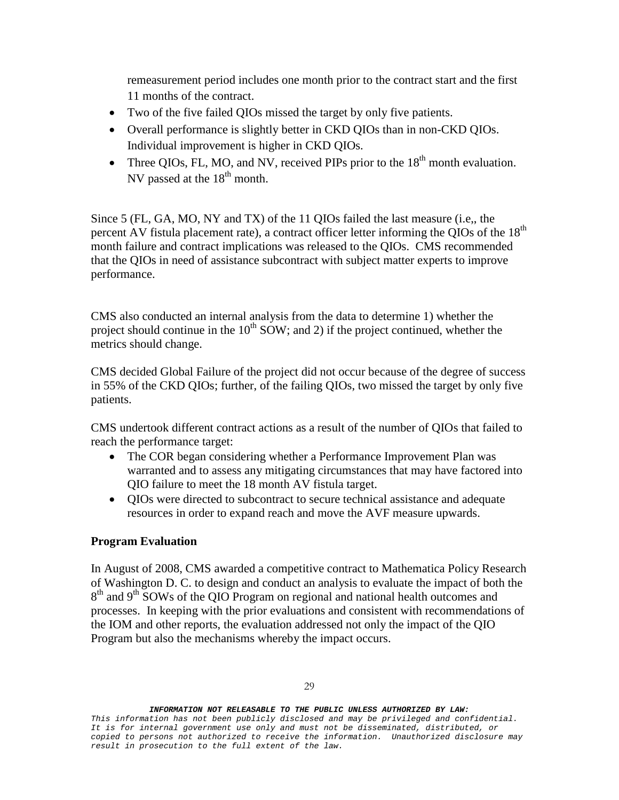remeasurement period includes one month prior to the contract start and the first 11 months of the contract.

- Two of the five failed QIOs missed the target by only five patients.
- Overall performance is slightly better in CKD QIOs than in non-CKD QIOs. Individual improvement is higher in CKD QIOs.
- Three QIOs, FL, MO, and NV, received PIPs prior to the  $18<sup>th</sup>$  month evaluation. NV passed at the  $18<sup>th</sup>$  month.

Since 5 (FL, GA, MO, NY and TX) of the 11 QIOs failed the last measure (i.e,, the percent AV fistula placement rate), a contract officer letter informing the QIOs of the 18<sup>th</sup> month failure and contract implications was released to the QIOs. CMS recommended that the QIOs in need of assistance subcontract with subject matter experts to improve performance.

CMS also conducted an internal analysis from the data to determine 1) whether the project should continue in the  $10^{th}$  SOW; and 2) if the project continued, whether the metrics should change.

CMS decided Global Failure of the project did not occur because of the degree of success in 55% of the CKD QIOs; further, of the failing QIOs, two missed the target by only five patients.

CMS undertook different contract actions as a result of the number of QIOs that failed to reach the performance target:

- The COR began considering whether a Performance Improvement Plan was warranted and to assess any mitigating circumstances that may have factored into QIO failure to meet the 18 month AV fistula target.
- QIOs were directed to subcontract to secure technical assistance and adequate resources in order to expand reach and move the AVF measure upwards.

## **Program Evaluation**

In August of 2008, CMS awarded a competitive contract to Mathematica Policy Research of Washington D. C. to design and conduct an analysis to evaluate the impact of both the  $8<sup>th</sup>$  and 9<sup>th</sup> SOWs of the OIO Program on regional and national health outcomes and processes. In keeping with the prior evaluations and consistent with recommendations of the IOM and other reports, the evaluation addressed not only the impact of the QIO Program but also the mechanisms whereby the impact occurs.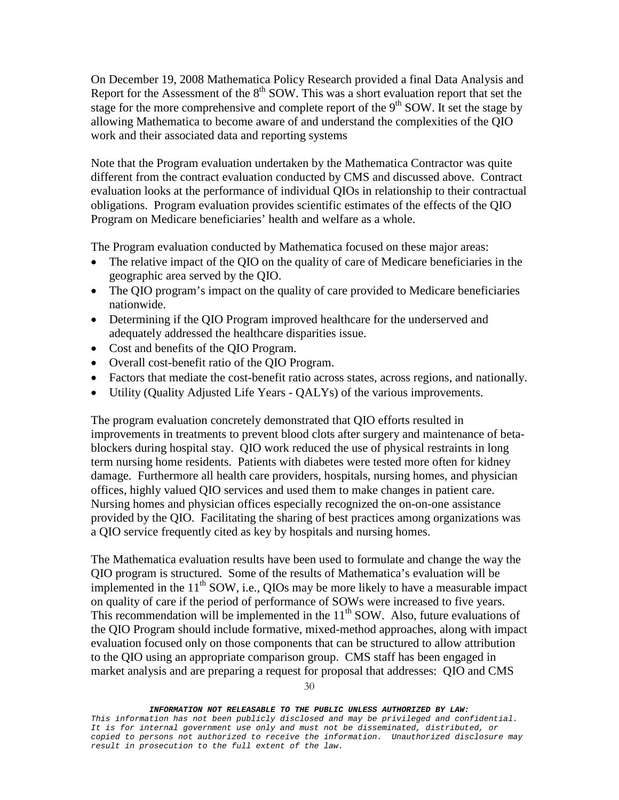On December 19, 2008 Mathematica Policy Research provided a final Data Analysis and Report for the Assessment of the  $8<sup>th</sup>$  SOW. This was a short evaluation report that set the stage for the more comprehensive and complete report of the  $9<sup>th</sup>$  SOW. It set the stage by allowing Mathematica to become aware of and understand the complexities of the QIO work and their associated data and reporting systems

Note that the Program evaluation undertaken by the Mathematica Contractor was quite different from the contract evaluation conducted by CMS and discussed above. Contract evaluation looks at the performance of individual QIOs in relationship to their contractual obligations. Program evaluation provides scientific estimates of the effects of the QIO Program on Medicare beneficiaries' health and welfare as a whole.

The Program evaluation conducted by Mathematica focused on these major areas:

- The relative impact of the QIO on the quality of care of Medicare beneficiaries in the geographic area served by the QIO.
- The QIO program's impact on the quality of care provided to Medicare beneficiaries nationwide.
- Determining if the QIO Program improved healthcare for the underserved and adequately addressed the healthcare disparities issue.
- Cost and benefits of the QIO Program.
- Overall cost-benefit ratio of the QIO Program.
- Factors that mediate the cost-benefit ratio across states, across regions, and nationally.
- Utility (Quality Adjusted Life Years QALYs) of the various improvements.

The program evaluation concretely demonstrated that QIO efforts resulted in improvements in treatments to prevent blood clots after surgery and maintenance of betablockers during hospital stay. QIO work reduced the use of physical restraints in long term nursing home residents. Patients with diabetes were tested more often for kidney damage. Furthermore all health care providers, hospitals, nursing homes, and physician offices, highly valued QIO services and used them to make changes in patient care. Nursing homes and physician offices especially recognized the on-on-one assistance provided by the QIO. Facilitating the sharing of best practices among organizations was a QIO service frequently cited as key by hospitals and nursing homes.

The Mathematica evaluation results have been used to formulate and change the way the QIO program is structured. Some of the results of Mathematica's evaluation will be implemented in the  $11<sup>th</sup>$  SOW, i.e., QIOs may be more likely to have a measurable impact on quality of care if the period of performance of SOWs were increased to five years. This recommendation will be implemented in the  $11<sup>th</sup>$  SOW. Also, future evaluations of the QIO Program should include formative, mixed-method approaches, along with impact evaluation focused only on those components that can be structured to allow attribution to the QIO using an appropriate comparison group. CMS staff has been engaged in market analysis and are preparing a request for proposal that addresses: QIO and CMS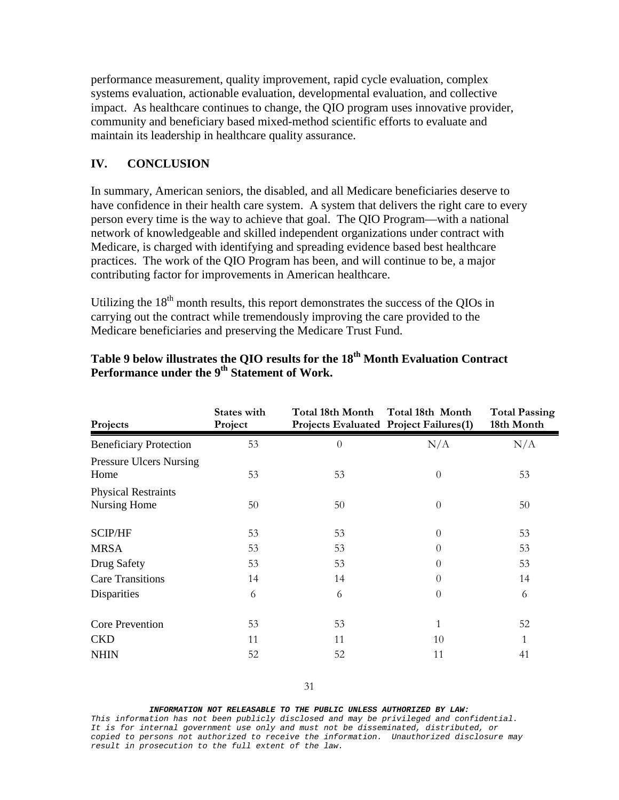performance measurement, quality improvement, rapid cycle evaluation, complex systems evaluation, actionable evaluation, developmental evaluation, and collective impact. As healthcare continues to change, the QIO program uses innovative provider, community and beneficiary based mixed-method scientific efforts to evaluate and maintain its leadership in healthcare quality assurance.

## **IV. CONCLUSION**

In summary, American seniors, the disabled, and all Medicare beneficiaries deserve to have confidence in their health care system. A system that delivers the right care to every person every time is the way to achieve that goal. The QIO Program—with a national network of knowledgeable and skilled independent organizations under contract with Medicare, is charged with identifying and spreading evidence based best healthcare practices. The work of the QIO Program has been, and will continue to be, a major contributing factor for improvements in American healthcare.

Utilizing the  $18<sup>th</sup>$  month results, this report demonstrates the success of the QIOs in carrying out the contract while tremendously improving the care provided to the Medicare beneficiaries and preserving the Medicare Trust Fund.

| Projects                                   | <b>States with</b><br>Project | Total 18th Month<br>Projects Evaluated Project Failures(1) | Total 18th Month | <b>Total Passing</b><br>18th Month |
|--------------------------------------------|-------------------------------|------------------------------------------------------------|------------------|------------------------------------|
| <b>Beneficiary Protection</b>              | 53                            | $\theta$                                                   | N/A              | N/A                                |
| <b>Pressure Ulcers Nursing</b><br>Home     | 53                            | 53                                                         | $\theta$         | 53                                 |
| <b>Physical Restraints</b><br>Nursing Home | 50                            | 50                                                         | $\theta$         | 50                                 |
| <b>SCIP/HF</b>                             | 53                            | 53                                                         | $\theta$         | 53                                 |
| <b>MRSA</b>                                | 53                            | 53                                                         | $\Omega$         | 53                                 |
| Drug Safety                                | 53                            | 53                                                         | $\Omega$         | 53                                 |
| <b>Care Transitions</b>                    | 14                            | 14                                                         | $\Omega$         | 14                                 |
| Disparities                                | 6                             | 6                                                          | $\theta$         | 6                                  |
| <b>Core Prevention</b>                     | 53                            | 53                                                         | 1                | 52                                 |
| <b>CKD</b>                                 | 11                            | 11                                                         | 10               | 1                                  |
| <b>NHIN</b>                                | 52                            | 52                                                         | 11               | 41                                 |

## **Table 9 below illustrates the QIO results for the 18th Month Evaluation Contract**  Performance under the 9<sup>th</sup> Statement of Work.

#### *INFORMATION NOT RELEASABLE TO THE PUBLIC UNLESS AUTHORIZED BY LAW:*